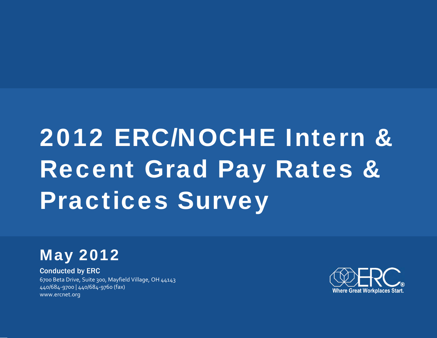# 2012 ERC/NOCHE Intern & Recent Grad Pay Rates & Practices Survey

# May 2012

Conducted by ERC 6700 Beta Drive, Suite 300, Mayfield Village, OH 44143 440/684‐9700 | 440/684‐9760 (fax) www.ercnet.org

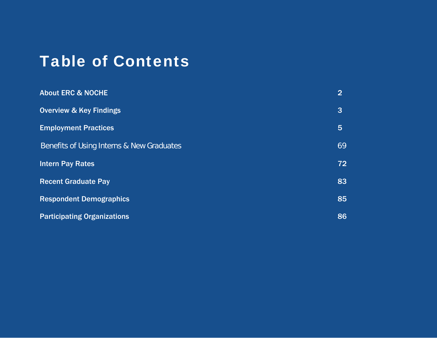# Table of Contents

| <b>About ERC &amp; NOCHE</b>                         | $\overline{2}$  |
|------------------------------------------------------|-----------------|
| <b>Overview &amp; Key Findings</b>                   | 3               |
| <b>Employment Practices</b>                          | $5\overline{5}$ |
| <b>Benefits of Using Interns &amp; New Graduates</b> | 69              |
| <b>Intern Pay Rates</b>                              | 72              |
| <b>Recent Graduate Pay</b>                           | 83              |
| <b>Respondent Demographics</b>                       | 85              |
| <b>Participating Organizations</b>                   | 86              |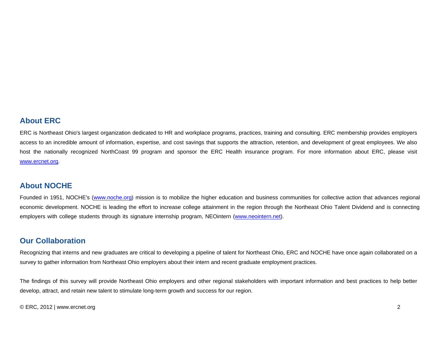#### **About ERC**

ERC is Northeast Ohio's largest organization dedicated to HR and workplace programs, practices, training and consulting. ERC membership provides employers access to an incredible amount of information, expertise, and cost savings that supports the attraction, retention, and development of great employees. We also host the nationally recognized NorthCoast 99 program and sponsor the ERC Health insurance program. For more information about ERC, please visit www.ercnet.org.

#### **About NOCHE**

Founded in 1951, NOCHE's (www.noche.org) mission is to mobilize the higher education and business communities for collective action that advances regional economic development. NOCHE is leading the effort to increase college attainment in the region through the Northeast Ohio Talent Dividend and is connecting employers with college students through its signature internship program, NEOintern (www.neointern.net).

#### **Our Collaboration**

Recognizing that interns and new graduates are critical to developing a pipeline of talent for Northeast Ohio, ERC and NOCHE have once again collaborated on a survey to gather information from Northeast Ohio employers about their intern and recent graduate employment practices.

The findings of this survey will provide Northeast Ohio employers and other regional stakeholders with important information and best practices to help better develop, attract, and retain new talent to stimulate long-term growth and success for our region.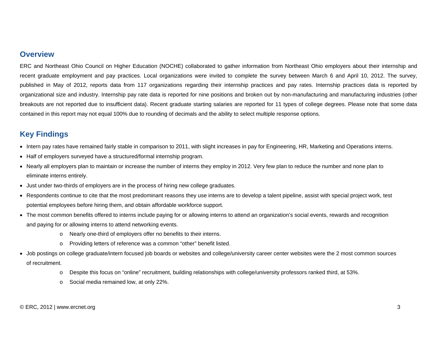#### **Overview**

ERC and Northeast Ohio Council on Higher Education (NOCHE) collaborated to gather information from Northeast Ohio employers about their internship and recent graduate employment and pay practices. Local organizations were invited to complete the survey between March 6 and April 10, 2012. The survey, published in May of 2012, reports data from 117 organizations regarding their internship practices and pay rates. Internship practices data is reported by organizational size and industry. Internship pay rate data is reported for nine positions and broken out by non-manufacturing and manufacturing industries (other breakouts are not reported due to insufficient data). Recent graduate starting salaries are reported for 11 types of college degrees. Please note that some data contained in this report may not equal 100% due to rounding of decimals and the ability to select multiple response options.

## **Key Findings**

- Intern pay rates have remained fairly stable in comparison to 2011, with slight increases in pay for Engineering, HR, Marketing and Operations interns.
- Half of employers surveyed have a structured/formal internship program.
- Nearly all employers plan to maintain or increase the number of interns they employ in 2012. Very few plan to reduce the number and none plan to eliminate interns entirely.
- Just under two-thirds of employers are in the process of hiring new college graduates.
- Respondents continue to cite that the most predominant reasons they use interns are to develop a talent pipeline, assist with special project work, test potential employees before hiring them, and obtain affordable workforce support.
- The most common benefits offered to interns include paying for or allowing interns to attend an organization's social events, rewards and recognition and paying for or allowing interns to attend networking events.
	- <sup>o</sup> Nearly one-third of employers offer no benefits to their interns.
	- <sup>o</sup> Providing letters of reference was a common "other" benefit listed.
- Job postings on college graduate/intern focused job boards or websites and college/university career center websites were the 2 most common sources of recruitment.
	- <sup>o</sup> Despite this focus on "online" recruitment, building relationships with college/university professors ranked third, at 53%.
	- o Social media remained low, at only 22%.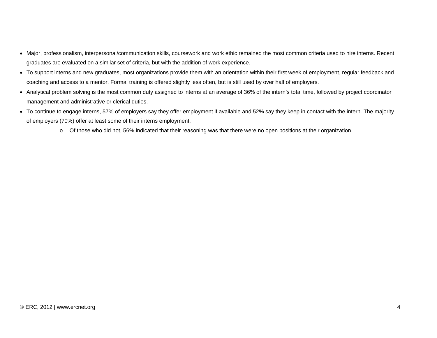- Major, professionalism, interpersonal/communication skills, coursework and work ethic remained the most common criteria used to hire interns. Recent graduates are evaluated on a similar set of criteria, but with the addition of work experience.
- To support interns and new graduates, most organizations provide them with an orientation within their first week of employment, regular feedback and coaching and access to a mentor. Formal training is offered slightly less often, but is still used by over half of employers.
- Analytical problem solving is the most common duty assigned to interns at an average of 36% of the intern's total time, followed by project coordinator management and administrative or clerical duties.
- To continue to engage interns, 57% of employers say they offer employment if available and 52% say they keep in contact with the intern. The majority of employers (70%) offer at least some of their interns employment.
	- o Of those who did not, 56% indicated that their reasoning was that there were no open positions at their organization.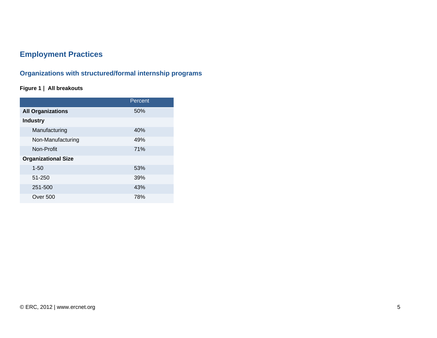# **Employment Practices**

# **Organizations with structured/formal internship programs**

#### **Figure 1 | All breakouts**

|                            | Percent |
|----------------------------|---------|
| <b>All Organizations</b>   | 50%     |
| <b>Industry</b>            |         |
| Manufacturing              | 40%     |
| Non-Manufacturing          | 49%     |
| Non-Profit                 | 71%     |
| <b>Organizational Size</b> |         |
| $1 - 50$                   | 53%     |
| 51-250                     | 39%     |
| 251-500                    | 43%     |
| Over 500                   | 78%     |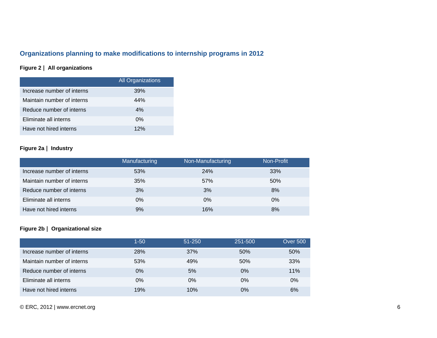# **Organizations planning to make modifications to internship programs in 2012**

#### **Figure 2 | All organizations**

|                            | <b>All Organizations</b> |
|----------------------------|--------------------------|
| Increase number of interns | 39%                      |
| Maintain number of interns | 44%                      |
| Reduce number of interns   | 4%                       |
| Eliminate all interns      | $0\%$                    |
| Have not hired interns     | 12%                      |

#### **Figure 2a | Industry**

|                            | Manufacturing | Non-Manufacturing | Non-Profit |
|----------------------------|---------------|-------------------|------------|
| Increase number of interns | 53%           | 24%               | 33%        |
| Maintain number of interns | 35%           | 57%               | 50%        |
| Reduce number of interns   | 3%            | 3%                | 8%         |
| Eliminate all interns      | $0\%$         | $0\%$             | $0\%$      |
| Have not hired interns     | 9%            | 16%               | 8%         |

#### **Figure 2b | Organizational size**

|                            | $1 - 50$ | 51-250 | 251-500 | <b>Over 500</b> |
|----------------------------|----------|--------|---------|-----------------|
| Increase number of interns | 28%      | 37%    | 50%     | 50%             |
| Maintain number of interns | 53%      | 49%    | 50%     | 33%             |
| Reduce number of interns   | $0\%$    | 5%     | $0\%$   | 11%             |
| Eliminate all interns      | $0\%$    | $0\%$  | 0%      | $0\%$           |
| Have not hired interns     | 19%      | 10%    | $0\%$   | 6%              |

© ERC, 2012 | www.ercnet.org 6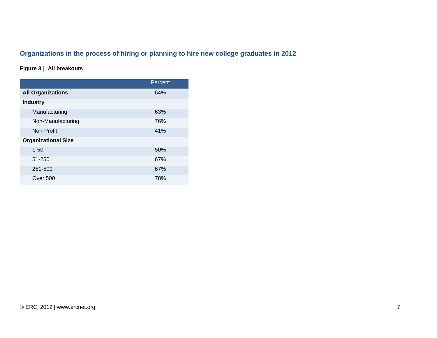# **Organizations in the process of hiring or planning to hire new college graduates in 2012**

#### **Figure 3 | All breakouts**

|                            | Percent |
|----------------------------|---------|
| <b>All Organizations</b>   | 64%     |
| <b>Industry</b>            |         |
| Manufacturing              | 63%     |
| Non-Manufacturing          | 76%     |
| Non-Profit                 | 41%     |
| <b>Organizational Size</b> |         |
| $1 - 50$                   | 50%     |
| 51-250                     | 67%     |
| 251-500                    | 67%     |
| Over 500                   | 78%     |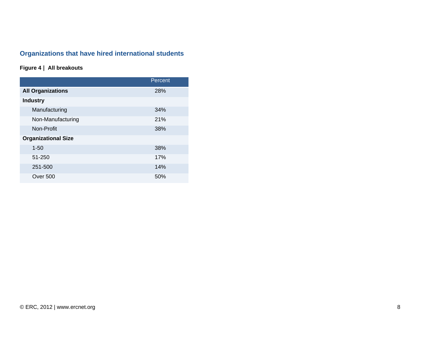# **Organizations that have hired international students**

#### **Figure 4 | All breakouts**

|                            | Percent |
|----------------------------|---------|
| <b>All Organizations</b>   | 28%     |
| <b>Industry</b>            |         |
| Manufacturing              | 34%     |
| Non-Manufacturing          | 21%     |
| Non-Profit                 | 38%     |
| <b>Organizational Size</b> |         |
| $1 - 50$                   | 38%     |
| 51-250                     | 17%     |
| 251-500                    | 14%     |
| <b>Over 500</b>            | 50%     |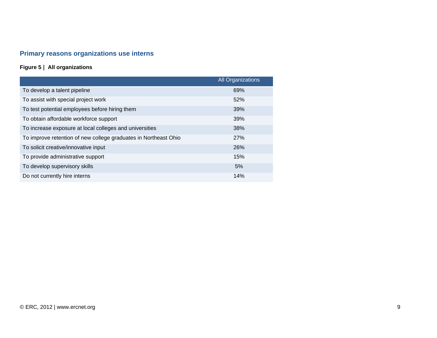# **Primary reasons organizations use interns**

### **Figure 5 | All organizations**

|                                                                 | <b>All Organizations</b> |
|-----------------------------------------------------------------|--------------------------|
| To develop a talent pipeline                                    | 69%                      |
| To assist with special project work                             | 52%                      |
| To test potential employees before hiring them                  | 39%                      |
| To obtain affordable workforce support                          | 39%                      |
| To increase exposure at local colleges and universities         | 38%                      |
| To improve retention of new college graduates in Northeast Ohio | 27%                      |
| To solicit creative/innovative input                            | 26%                      |
| To provide administrative support                               | 15%                      |
| To develop supervisory skills                                   | 5%                       |
| Do not currently hire interns                                   | 14%                      |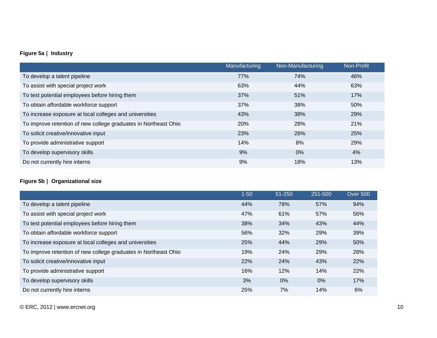#### **Figure 5a | Industry**

|                                                                 | Manufacturing | Non-Manufacturing | Non-Profit |
|-----------------------------------------------------------------|---------------|-------------------|------------|
| To develop a talent pipeline                                    | 77%           | 74%               | 46%        |
| To assist with special project work                             | 63%           | 44%               | 63%        |
| To test potential employees before hiring them                  | 37%           | 51%               | 17%        |
| To obtain affordable workforce support                          | 37%           | 38%               | 50%        |
| To increase exposure at local colleges and universities         | 43%           | 38%               | 29%        |
| To improve retention of new college graduates in Northeast Ohio | 20%           | 28%               | 21%        |
| To solicit creative/innovative input                            | 23%           | 26%               | 25%        |
| To provide administrative support                               | 14%           | 8%                | 29%        |
| To develop supervisory skills                                   | 9%            | $0\%$             | 4%         |
| Do not currently hire interns                                   | 9%            | 18%               | 13%        |

#### **Figure 5b | Organizational size**

|                                                                 | $1 - 50$ | 51-250 | 251-500 | <b>Over 500</b> |
|-----------------------------------------------------------------|----------|--------|---------|-----------------|
| To develop a talent pipeline                                    | 44%      | 78%    | 57%     | 94%             |
| To assist with special project work                             | 47%      | 61%    | 57%     | 56%             |
| To test potential employees before hiring them                  | 38%      | 34%    | 43%     | 44%             |
| To obtain affordable workforce support                          | 56%      | 32%    | 29%     | 39%             |
| To increase exposure at local colleges and universities         | 25%      | 44%    | 29%     | 50%             |
| To improve retention of new college graduates in Northeast Ohio | 19%      | 24%    | 29%     | 28%             |
| To solicit creative/innovative input                            | 22%      | 24%    | 43%     | 22%             |
| To provide administrative support                               | 16%      | 12%    | 14%     | 22%             |
| To develop supervisory skills                                   | 3%       | $0\%$  | $0\%$   | 17%             |
| Do not currently hire interns                                   | 25%      | 7%     | 14%     | 6%              |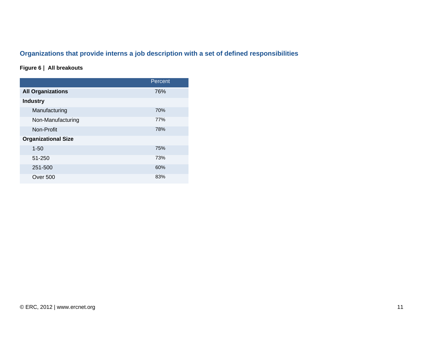# **Organizations that provide interns a job description with a set of defined responsibilities**

#### **Figure 6 | All breakouts**

|                            | Percent |
|----------------------------|---------|
| <b>All Organizations</b>   | 76%     |
| <b>Industry</b>            |         |
| Manufacturing              | 70%     |
| Non-Manufacturing          | 77%     |
| Non-Profit                 | 78%     |
| <b>Organizational Size</b> |         |
| $1 - 50$                   | 75%     |
| 51-250                     | 73%     |
| 251-500                    | 60%     |
| Over 500                   | 83%     |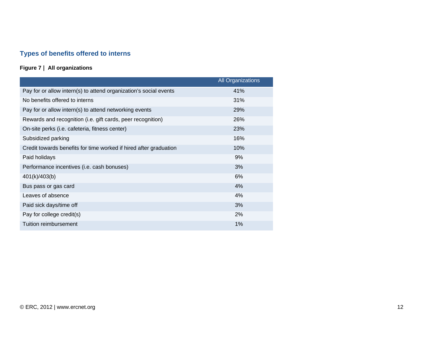# **Types of benefits offered to interns**

#### **Figure 7 | All organizations**

|                                                                   | <b>All Organizations</b> |
|-------------------------------------------------------------------|--------------------------|
| Pay for or allow intern(s) to attend organization's social events | 41%                      |
| No benefits offered to interns                                    | 31%                      |
| Pay for or allow intern(s) to attend networking events            | 29%                      |
| Rewards and recognition (i.e. gift cards, peer recognition)       | 26%                      |
| On-site perks (i.e. cafeteria, fitness center)                    | 23%                      |
| Subsidized parking                                                | 16%                      |
| Credit towards benefits for time worked if hired after graduation | 10%                      |
| Paid holidays                                                     | 9%                       |
| Performance incentives (i.e. cash bonuses)                        | 3%                       |
| 401(k)/403(b)                                                     | 6%                       |
| Bus pass or gas card                                              | 4%                       |
| Leaves of absence                                                 | 4%                       |
| Paid sick days/time off                                           | 3%                       |
| Pay for college credit(s)                                         | 2%                       |
| Tuition reimbursement                                             | 1%                       |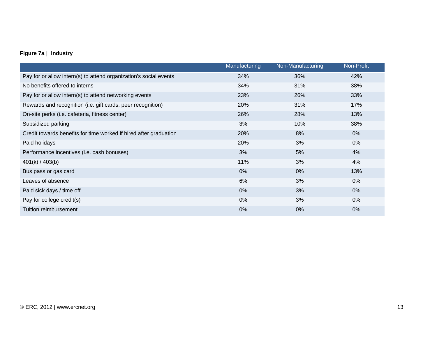#### **Figure 7a | Industry**

|                                                                   | Manufacturing | Non-Manufacturing | Non-Profit |
|-------------------------------------------------------------------|---------------|-------------------|------------|
| Pay for or allow intern(s) to attend organization's social events | 34%           | 36%               | 42%        |
| No benefits offered to interns                                    | 34%           | 31%               | 38%        |
| Pay for or allow intern(s) to attend networking events            | 23%           | 26%               | 33%        |
| Rewards and recognition (i.e. gift cards, peer recognition)       | 20%           | 31%               | 17%        |
| On-site perks (i.e. cafeteria, fitness center)                    | 26%           | 28%               | 13%        |
| Subsidized parking                                                | 3%            | 10%               | 38%        |
| Credit towards benefits for time worked if hired after graduation | 20%           | 8%                | 0%         |
| Paid holidays                                                     | 20%           | 3%                | $0\%$      |
| Performance incentives (i.e. cash bonuses)                        | 3%            | 5%                | 4%         |
| 401(k) / 403(b)                                                   | 11%           | 3%                | 4%         |
| Bus pass or gas card                                              | 0%            | $0\%$             | 13%        |
| Leaves of absence                                                 | 6%            | 3%                | $0\%$      |
| Paid sick days / time off                                         | 0%            | 3%                | $0\%$      |
| Pay for college credit(s)                                         | 0%            | 3%                | $0\%$      |
| <b>Tuition reimbursement</b>                                      | 0%            | $0\%$             | 0%         |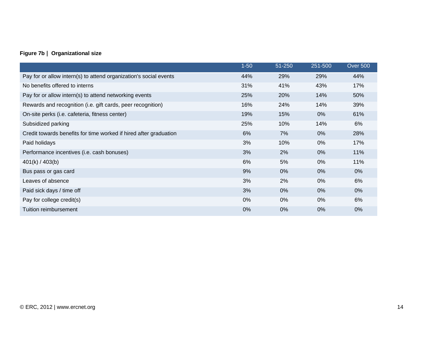#### **Figure 7b | Organizational size**

|                                                                   | $1 - 50$ | 51-250 | 251-500 | <b>Over 500</b> |
|-------------------------------------------------------------------|----------|--------|---------|-----------------|
| Pay for or allow intern(s) to attend organization's social events | 44%      | 29%    | 29%     | 44%             |
| No benefits offered to interns                                    | 31%      | 41%    | 43%     | 17%             |
| Pay for or allow intern(s) to attend networking events            | 25%      | 20%    | 14%     | 50%             |
| Rewards and recognition (i.e. gift cards, peer recognition)       | 16%      | 24%    | 14%     | 39%             |
| On-site perks (i.e. cafeteria, fitness center)                    | 19%      | 15%    | 0%      | 61%             |
| Subsidized parking                                                | 25%      | 10%    | 14%     | 6%              |
| Credit towards benefits for time worked if hired after graduation | 6%       | 7%     | $0\%$   | 28%             |
| Paid holidays                                                     | 3%       | 10%    | $0\%$   | 17%             |
| Performance incentives (i.e. cash bonuses)                        | 3%       | 2%     | $0\%$   | 11%             |
| 401(k) / 403(b)                                                   | 6%       | 5%     | 0%      | 11%             |
| Bus pass or gas card                                              | 9%       | $0\%$  | $0\%$   | $0\%$           |
| Leaves of absence                                                 | 3%       | 2%     | $0\%$   | 6%              |
| Paid sick days / time off                                         | 3%       | 0%     | 0%      | 0%              |
| Pay for college credit(s)                                         | 0%       | $0\%$  | $0\%$   | 6%              |
| Tuition reimbursement                                             | 0%       | $0\%$  | $0\%$   | $0\%$           |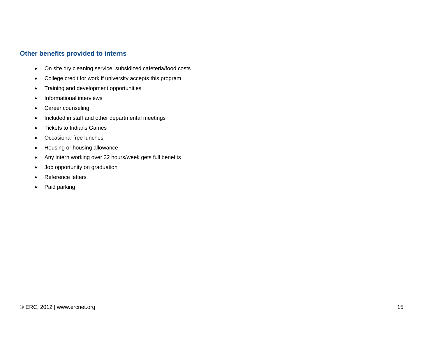#### **Other benefits provided to interns**

- On site dry cleaning service, subsidized cafeteria/food costs
- College credit for work if university accepts this program
- Training and development opportunities
- Informational interviews
- Career counseling
- Included in staff and other departmental meetings
- Tickets to Indians Games
- Occasional free lunches
- Housing or housing allowance
- Any intern working over 32 hours/week gets full benefits
- Job opportunity on graduation
- Reference letters
- Paid parking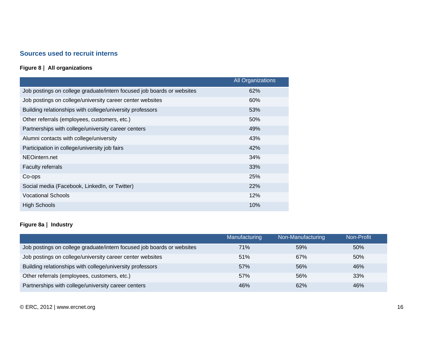#### **Sources used to recruit interns**

#### **Figure 8 | All organizations**

|                                                                        | <b>All Organizations</b> |
|------------------------------------------------------------------------|--------------------------|
| Job postings on college graduate/intern focused job boards or websites | 62%                      |
| Job postings on college/university career center websites              | 60%                      |
| Building relationships with college/university professors              | 53%                      |
| Other referrals (employees, customers, etc.)                           | 50%                      |
| Partnerships with college/university career centers                    | 49%                      |
| Alumni contacts with college/university                                | 43%                      |
| Participation in college/university job fairs                          | 42%                      |
| NEOintern.net                                                          | 34%                      |
| <b>Faculty referrals</b>                                               | 33%                      |
| Co-ops                                                                 | 25%                      |
| Social media (Facebook, LinkedIn, or Twitter)                          | 22%                      |
| <b>Vocational Schools</b>                                              | 12%                      |
| <b>High Schools</b>                                                    | 10%                      |

#### **Figure 8a | Industry**

|                                                                        | Manufacturing | Non-Manufacturing | Non-Profit |
|------------------------------------------------------------------------|---------------|-------------------|------------|
| Job postings on college graduate/intern focused job boards or websites | 71%           | 59%               | 50%        |
| Job postings on college/university career center websites              | 51%           | 67%               | 50%        |
| Building relationships with college/university professors              | 57%           | 56%               | 46%        |
| Other referrals (employees, customers, etc.)                           | 57%           | 56%               | 33%        |
| Partnerships with college/university career centers                    | 46%           | 62%               | 46%        |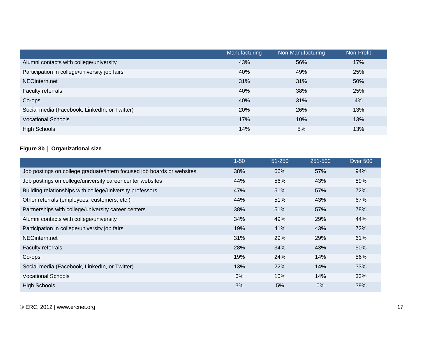|                                               | Manufacturing | Non-Manufacturing | Non-Profit |
|-----------------------------------------------|---------------|-------------------|------------|
| Alumni contacts with college/university       | 43%           | 56%               | 17%        |
| Participation in college/university job fairs | 40%           | 49%               | 25%        |
| NEOintern.net                                 | 31%           | 31%               | 50%        |
| Faculty referrals                             | 40%           | 38%               | 25%        |
| Co-ops                                        | 40%           | 31%               | 4%         |
| Social media (Facebook, LinkedIn, or Twitter) | 20%           | 26%               | 13%        |
| <b>Vocational Schools</b>                     | 17%           | 10%               | 13%        |
| <b>High Schools</b>                           | 14%           | 5%                | 13%        |

#### **Figure 8b | Organizational size**

|                                                                        | $1 - 50$ | 51-250 | 251-500 | <b>Over 500</b> |
|------------------------------------------------------------------------|----------|--------|---------|-----------------|
| Job postings on college graduate/intern focused job boards or websites | 38%      | 66%    | 57%     | 94%             |
| Job postings on college/university career center websites              | 44%      | 56%    | 43%     | 89%             |
| Building relationships with college/university professors              | 47%      | 51%    | 57%     | 72%             |
| Other referrals (employees, customers, etc.)                           | 44%      | 51%    | 43%     | 67%             |
| Partnerships with college/university career centers                    | 38%      | 51%    | 57%     | 78%             |
| Alumni contacts with college/university                                | 34%      | 49%    | 29%     | 44%             |
| Participation in college/university job fairs                          | 19%      | 41%    | 43%     | 72%             |
| NEOintern.net                                                          | 31%      | 29%    | 29%     | 61%             |
| Faculty referrals                                                      | 28%      | 34%    | 43%     | 50%             |
| Co-ops                                                                 | 19%      | 24%    | 14%     | 56%             |
| Social media (Facebook, LinkedIn, or Twitter)                          | 13%      | 22%    | 14%     | 33%             |
| <b>Vocational Schools</b>                                              | 6%       | 10%    | 14%     | 33%             |
| <b>High Schools</b>                                                    | 3%       | 5%     | $0\%$   | 39%             |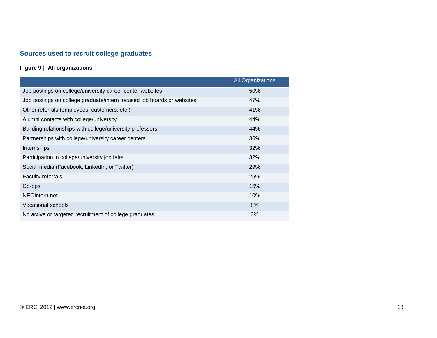# **Sources used to recruit college graduates**

#### **Figure 9 | All organizations**

|                                                                        | <b>All Organizations</b> |
|------------------------------------------------------------------------|--------------------------|
| Job postings on college/university career center websites              | 50%                      |
| Job postings on college graduate/intern focused job boards or websites | 47%                      |
| Other referrals (employees, customers, etc.)                           | 41%                      |
| Alumni contacts with college/university                                | 44%                      |
| Building relationships with college/university professors              | 44%                      |
| Partnerships with college/university career centers                    | 36%                      |
| Internships                                                            | 32%                      |
| Participation in college/university job fairs                          | 32%                      |
| Social media (Facebook, LinkedIn, or Twitter)                          | 29%                      |
| <b>Faculty referrals</b>                                               | 25%                      |
| Co-ops                                                                 | 16%                      |
| NEOintern.net                                                          | 10%                      |
| <b>Vocational schools</b>                                              | 8%                       |
| No active or targeted recruitment of college graduates                 | 3%                       |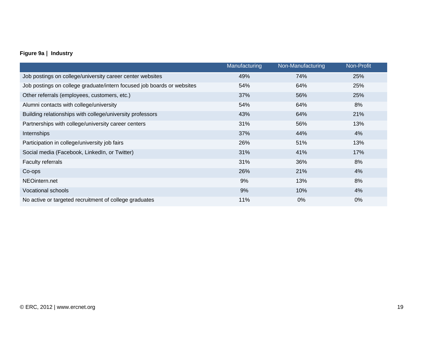#### **Figure 9a | Industry**

|                                                                        | Manufacturing | Non-Manufacturing | Non-Profit |
|------------------------------------------------------------------------|---------------|-------------------|------------|
| Job postings on college/university career center websites              | 49%           | 74%               | 25%        |
| Job postings on college graduate/intern focused job boards or websites | 54%           | 64%               | 25%        |
| Other referrals (employees, customers, etc.)                           | 37%           | 56%               | 25%        |
| Alumni contacts with college/university                                | 54%           | 64%               | 8%         |
| Building relationships with college/university professors              | 43%           | 64%               | 21%        |
| Partnerships with college/university career centers                    | 31%           | 56%               | 13%        |
| Internships                                                            | 37%           | 44%               | 4%         |
| Participation in college/university job fairs                          | 26%           | 51%               | 13%        |
| Social media (Facebook, LinkedIn, or Twitter)                          | 31%           | 41%               | 17%        |
| Faculty referrals                                                      | 31%           | 36%               | 8%         |
| Co-ops                                                                 | 26%           | 21%               | 4%         |
| NEOintern.net                                                          | 9%            | 13%               | 8%         |
| <b>Vocational schools</b>                                              | 9%            | 10%               | 4%         |
| No active or targeted recruitment of college graduates                 | 11%           | $0\%$             | 0%         |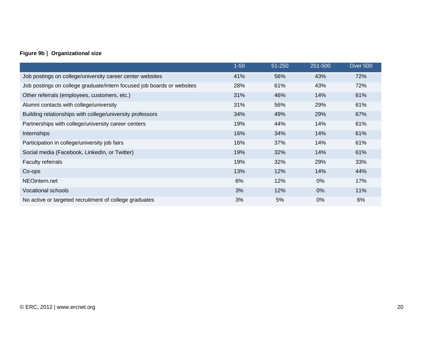#### **Figure 9b | Organizational size**

|                                                                        | $1 - 50$ | 51-250 | 251-500 | <b>Over 500</b> |
|------------------------------------------------------------------------|----------|--------|---------|-----------------|
| Job postings on college/university career center websites              | 41%      | 56%    | 43%     | 72%             |
| Job postings on college graduate/intern focused job boards or websites | 28%      | 61%    | 43%     | 72%             |
| Other referrals (employees, customers, etc.)                           | 31%      | 46%    | 14%     | 61%             |
| Alumni contacts with college/university                                | 31%      | 56%    | 29%     | 61%             |
| Building relationships with college/university professors              | 34%      | 49%    | 29%     | 67%             |
| Partnerships with college/university career centers                    | 19%      | 44%    | 14%     | 61%             |
| Internships                                                            | 16%      | 34%    | 14%     | 61%             |
| Participation in college/university job fairs                          | 16%      | 37%    | 14%     | 61%             |
| Social media (Facebook, LinkedIn, or Twitter)                          | 19%      | 32%    | 14%     | 61%             |
| Faculty referrals                                                      | 19%      | 32%    | 29%     | 33%             |
| Co-ops                                                                 | 13%      | 12%    | 14%     | 44%             |
| NEOintern.net                                                          | 6%       | 12%    | $0\%$   | 17%             |
| Vocational schools                                                     | 3%       | 12%    | 0%      | 11%             |
| No active or targeted recruitment of college graduates                 | 3%       | 5%     | 0%      | 6%              |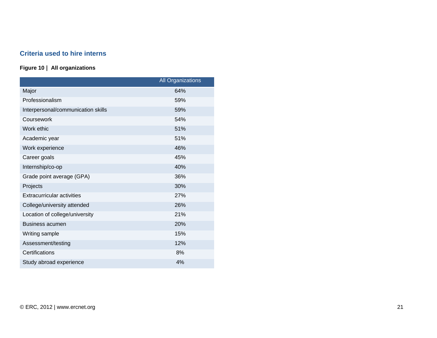#### **Criteria used to hire interns**

#### **Figure 10 | All organizations**

|                                    | <b>All Organizations</b> |
|------------------------------------|--------------------------|
| Major                              | 64%                      |
| Professionalism                    | 59%                      |
| Interpersonal/communication skills | 59%                      |
| Coursework                         | 54%                      |
| Work ethic                         | 51%                      |
| Academic year                      | 51%                      |
| Work experience                    | 46%                      |
| Career goals                       | 45%                      |
| Internship/co-op                   | 40%                      |
| Grade point average (GPA)          | 36%                      |
| Projects                           | 30%                      |
| <b>Extracurricular activities</b>  | 27%                      |
| College/university attended        | 26%                      |
| Location of college/university     | 21%                      |
| <b>Business acumen</b>             | 20%                      |
| Writing sample                     | 15%                      |
| Assessment/testing                 | 12%                      |
| Certifications                     | 8%                       |
| Study abroad experience            | 4%                       |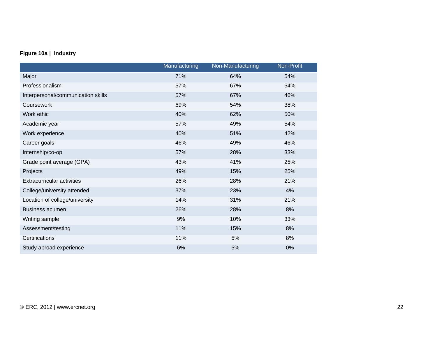#### **Figure 10a | Industry**

|                                    | Manufacturing | Non-Manufacturing | Non-Profit |
|------------------------------------|---------------|-------------------|------------|
| Major                              | 71%           | 64%               | 54%        |
| Professionalism                    | 57%           | 67%               | 54%        |
| Interpersonal/communication skills | 57%           | 67%               | 46%        |
| Coursework                         | 69%           | 54%               | 38%        |
| Work ethic                         | 40%           | 62%               | 50%        |
| Academic year                      | 57%           | 49%               | 54%        |
| Work experience                    | 40%           | 51%               | 42%        |
| Career goals                       | 46%           | 49%               | 46%        |
| Internship/co-op                   | 57%           | 28%               | 33%        |
| Grade point average (GPA)          | 43%           | 41%               | 25%        |
| Projects                           | 49%           | 15%               | 25%        |
| <b>Extracurricular activities</b>  | 26%           | 28%               | 21%        |
| College/university attended        | 37%           | 23%               | 4%         |
| Location of college/university     | 14%           | 31%               | 21%        |
| <b>Business acumen</b>             | 26%           | 28%               | 8%         |
| Writing sample                     | 9%            | 10%               | 33%        |
| Assessment/testing                 | 11%           | 15%               | 8%         |
| Certifications                     | 11%           | 5%                | 8%         |
| Study abroad experience            | 6%            | 5%                | 0%         |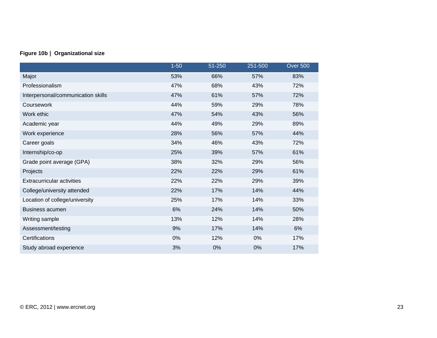#### **Figure 10b | Organizational size**

|                                    | $1 - 50$ | 51-250 | 251-500 | <b>Over 500</b> |
|------------------------------------|----------|--------|---------|-----------------|
| Major                              | 53%      | 66%    | 57%     | 83%             |
| Professionalism                    | 47%      | 68%    | 43%     | 72%             |
| Interpersonal/communication skills | 47%      | 61%    | 57%     | 72%             |
| Coursework                         | 44%      | 59%    | 29%     | 78%             |
| Work ethic                         | 47%      | 54%    | 43%     | 56%             |
| Academic year                      | 44%      | 49%    | 29%     | 89%             |
| Work experience                    | 28%      | 56%    | 57%     | 44%             |
| Career goals                       | 34%      | 46%    | 43%     | 72%             |
| Internship/co-op                   | 25%      | 39%    | 57%     | 61%             |
| Grade point average (GPA)          | 38%      | 32%    | 29%     | 56%             |
| Projects                           | 22%      | 22%    | 29%     | 61%             |
| <b>Extracurricular activities</b>  | 22%      | 22%    | 29%     | 39%             |
| College/university attended        | 22%      | 17%    | 14%     | 44%             |
| Location of college/university     | 25%      | 17%    | 14%     | 33%             |
| <b>Business acumen</b>             | 6%       | 24%    | 14%     | 50%             |
| Writing sample                     | 13%      | 12%    | 14%     | 28%             |
| Assessment/testing                 | 9%       | 17%    | 14%     | 6%              |
| Certifications                     | 0%       | 12%    | 0%      | 17%             |
| Study abroad experience            | 3%       | 0%     | 0%      | 17%             |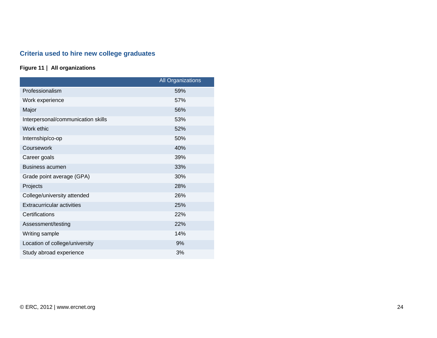# **Criteria used to hire new college graduates**

#### **Figure 11 | All organizations**

|                                    | All Organizations |
|------------------------------------|-------------------|
| Professionalism                    | 59%               |
| Work experience                    | 57%               |
| Major                              | 56%               |
| Interpersonal/communication skills | 53%               |
| Work ethic                         | 52%               |
| Internship/co-op                   | 50%               |
| Coursework                         | 40%               |
| Career goals                       | 39%               |
| <b>Business acumen</b>             | 33%               |
| Grade point average (GPA)          | 30%               |
| Projects                           | 28%               |
| College/university attended        | 26%               |
| <b>Extracurricular activities</b>  | 25%               |
| Certifications                     | 22%               |
| Assessment/testing                 | 22%               |
| Writing sample                     | 14%               |
| Location of college/university     | 9%                |
| Study abroad experience            | 3%                |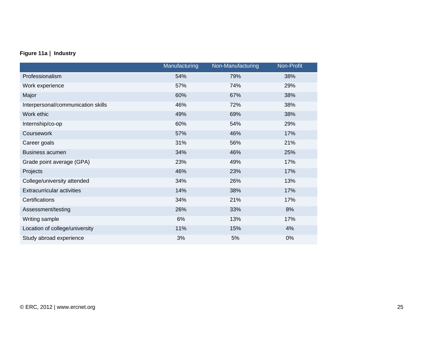#### **Figure 11a | Industry**

|                                    | Manufacturing | Non-Manufacturing | Non-Profit |
|------------------------------------|---------------|-------------------|------------|
| Professionalism                    | 54%           | 79%               | 38%        |
| Work experience                    | 57%           | 74%               | 29%        |
| Major                              | 60%           | 67%               | 38%        |
| Interpersonal/communication skills | 46%           | 72%               | 38%        |
| Work ethic                         | 49%           | 69%               | 38%        |
| Internship/co-op                   | 60%           | 54%               | 29%        |
| Coursework                         | 57%           | 46%               | 17%        |
| Career goals                       | 31%           | 56%               | 21%        |
| <b>Business acumen</b>             | 34%           | 46%               | 25%        |
| Grade point average (GPA)          | 23%           | 49%               | 17%        |
| Projects                           | 46%           | 23%               | 17%        |
| College/university attended        | 34%           | 26%               | 13%        |
| <b>Extracurricular activities</b>  | 14%           | 38%               | 17%        |
| Certifications                     | 34%           | 21%               | 17%        |
| Assessment/testing                 | 26%           | 33%               | 8%         |
| Writing sample                     | 6%            | 13%               | 17%        |
| Location of college/university     | 11%           | 15%               | 4%         |
| Study abroad experience            | 3%            | 5%                | 0%         |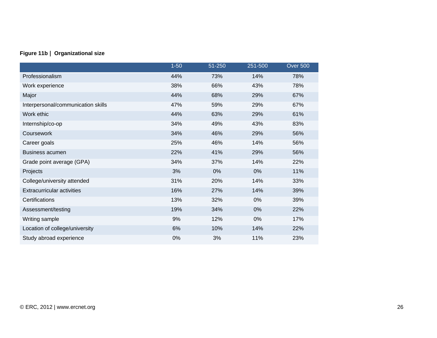#### **Figure 11b | Organizational size**

|                                    | $1 - 50$ | 51-250 | 251-500 | <b>Over 500</b> |
|------------------------------------|----------|--------|---------|-----------------|
| Professionalism                    | 44%      | 73%    | 14%     | 78%             |
| Work experience                    | 38%      | 66%    | 43%     | 78%             |
| Major                              | 44%      | 68%    | 29%     | 67%             |
| Interpersonal/communication skills | 47%      | 59%    | 29%     | 67%             |
| Work ethic                         | 44%      | 63%    | 29%     | 61%             |
| Internship/co-op                   | 34%      | 49%    | 43%     | 83%             |
| Coursework                         | 34%      | 46%    | 29%     | 56%             |
| Career goals                       | 25%      | 46%    | 14%     | 56%             |
| <b>Business acumen</b>             | 22%      | 41%    | 29%     | 56%             |
| Grade point average (GPA)          | 34%      | 37%    | 14%     | 22%             |
| Projects                           | 3%       | 0%     | 0%      | 11%             |
| College/university attended        | 31%      | 20%    | 14%     | 33%             |
| <b>Extracurricular activities</b>  | 16%      | 27%    | 14%     | 39%             |
| Certifications                     | 13%      | 32%    | 0%      | 39%             |
| Assessment/testing                 | 19%      | 34%    | 0%      | 22%             |
| Writing sample                     | 9%       | 12%    | 0%      | 17%             |
| Location of college/university     | 6%       | 10%    | 14%     | 22%             |
| Study abroad experience            | 0%       | 3%     | 11%     | 23%             |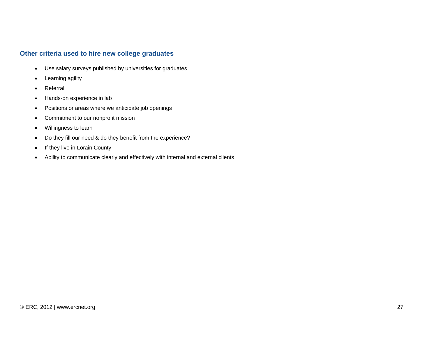#### **Other criteria used to hire new college graduates**

- Use salary surveys published by universities for graduates
- Learning agility
- Referral
- Hands-on experience in lab
- Positions or areas where we anticipate job openings
- Commitment to our nonprofit mission
- Willingness to learn
- Do they fill our need & do they benefit from the experience?
- If they live in Lorain County
- Ability to communicate clearly and effectively with internal and external clients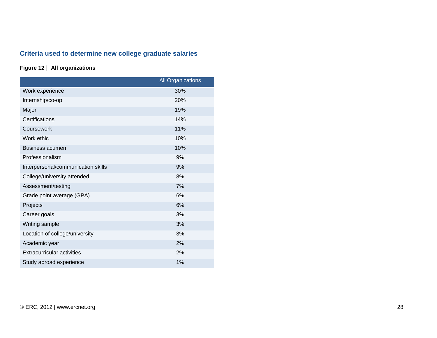# **Criteria used to determine new college graduate salaries**

#### **Figure 12 | All organizations**

|                                    | <b>All Organizations</b> |
|------------------------------------|--------------------------|
| Work experience                    | 30%                      |
| Internship/co-op                   | 20%                      |
| Major                              | 19%                      |
| Certifications                     | 14%                      |
| Coursework                         | 11%                      |
| Work ethic                         | 10%                      |
| <b>Business acumen</b>             | 10%                      |
| Professionalism                    | 9%                       |
| Interpersonal/communication skills | 9%                       |
| College/university attended        | 8%                       |
| Assessment/testing                 | 7%                       |
| Grade point average (GPA)          | 6%                       |
| Projects                           | 6%                       |
| Career goals                       | 3%                       |
| Writing sample                     | 3%                       |
| Location of college/university     | 3%                       |
| Academic year                      | 2%                       |
| <b>Extracurricular activities</b>  | 2%                       |
| Study abroad experience            | 1%                       |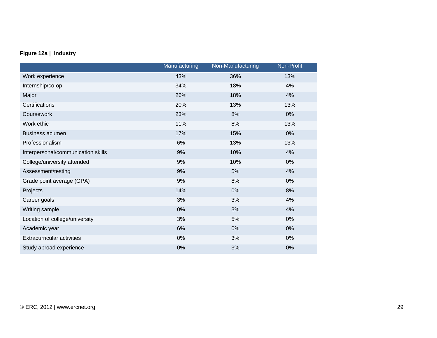#### **Figure 12a | Industry**

|                                    | Manufacturing | Non-Manufacturing | Non-Profit |
|------------------------------------|---------------|-------------------|------------|
| Work experience                    | 43%           | 36%               | 13%        |
| Internship/co-op                   | 34%           | 18%               | 4%         |
| Major                              | 26%           | 18%               | 4%         |
| Certifications                     | 20%           | 13%               | 13%        |
| Coursework                         | 23%           | 8%                | 0%         |
| Work ethic                         | 11%           | 8%                | 13%        |
| <b>Business acumen</b>             | 17%           | 15%               | 0%         |
| Professionalism                    | 6%            | 13%               | 13%        |
| Interpersonal/communication skills | 9%            | 10%               | 4%         |
| College/university attended        | 9%            | 10%               | 0%         |
| Assessment/testing                 | 9%            | 5%                | 4%         |
| Grade point average (GPA)          | 9%            | 8%                | $0\%$      |
| Projects                           | 14%           | 0%                | 8%         |
| Career goals                       | 3%            | 3%                | 4%         |
| Writing sample                     | 0%            | 3%                | 4%         |
| Location of college/university     | 3%            | 5%                | 0%         |
| Academic year                      | 6%            | 0%                | 0%         |
| <b>Extracurricular activities</b>  | 0%            | 3%                | $0\%$      |
| Study abroad experience            | 0%            | 3%                | 0%         |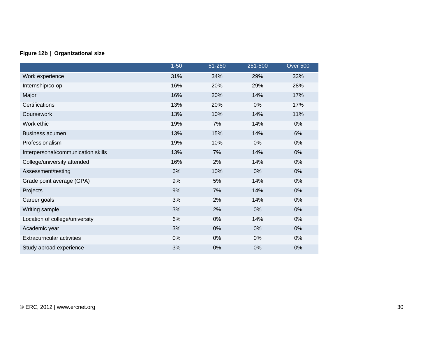#### **Figure 12b | Organizational size**

|                                    | $1 - 50$ | 51-250 | 251-500 | <b>Over 500</b> |
|------------------------------------|----------|--------|---------|-----------------|
| Work experience                    | 31%      | 34%    | 29%     | 33%             |
| Internship/co-op                   | 16%      | 20%    | 29%     | 28%             |
| Major                              | 16%      | 20%    | 14%     | 17%             |
| Certifications                     | 13%      | 20%    | 0%      | 17%             |
| Coursework                         | 13%      | 10%    | 14%     | 11%             |
| Work ethic                         | 19%      | 7%     | 14%     | 0%              |
| <b>Business acumen</b>             | 13%      | 15%    | 14%     | 6%              |
| Professionalism                    | 19%      | 10%    | 0%      | 0%              |
| Interpersonal/communication skills | 13%      | 7%     | 14%     | 0%              |
| College/university attended        | 16%      | 2%     | 14%     | 0%              |
| Assessment/testing                 | 6%       | 10%    | 0%      | 0%              |
| Grade point average (GPA)          | 9%       | 5%     | 14%     | 0%              |
| Projects                           | 9%       | 7%     | 14%     | 0%              |
| Career goals                       | 3%       | 2%     | 14%     | 0%              |
| Writing sample                     | 3%       | 2%     | 0%      | 0%              |
| Location of college/university     | 6%       | 0%     | 14%     | 0%              |
| Academic year                      | 3%       | 0%     | 0%      | 0%              |
| <b>Extracurricular activities</b>  | 0%       | 0%     | 0%      | 0%              |
| Study abroad experience            | 3%       | 0%     | 0%      | 0%              |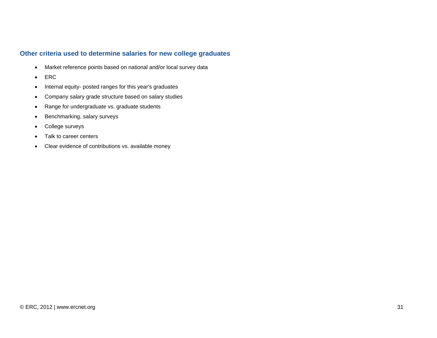#### **Other criteria used to determine salaries for new college graduates**

- Market reference points based on national and/or local survey data
- ERC
- Internal equity- posted ranges for this year's graduates
- Company salary grade structure based on salary studies
- Range for undergraduate vs. graduate students
- Benchmarking, salary surveys
- College surveys
- Talk to career centers
- Clear evidence of contributions vs. available money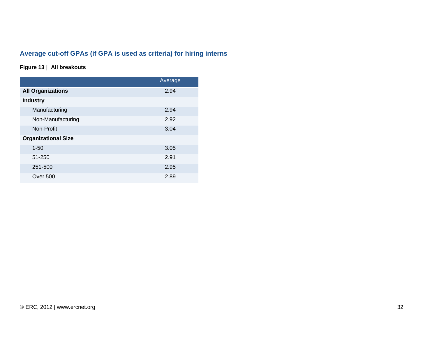# **Average cut-off GPAs (if GPA is used as criteria) for hiring interns**

#### **Figure 13 | All breakouts**

|                            | Average |
|----------------------------|---------|
| <b>All Organizations</b>   | 2.94    |
| <b>Industry</b>            |         |
| Manufacturing              | 2.94    |
| Non-Manufacturing          | 2.92    |
| Non-Profit                 | 3.04    |
| <b>Organizational Size</b> |         |
| $1 - 50$                   | 3.05    |
| 51-250                     | 2.91    |
| 251-500                    | 2.95    |
| <b>Over 500</b>            | 2.89    |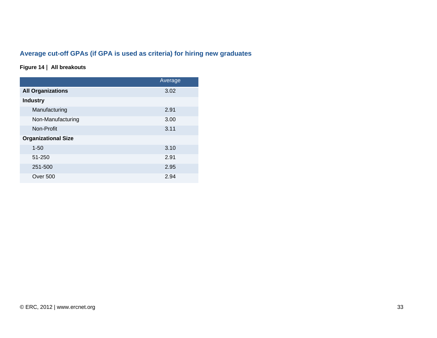# **Average cut-off GPAs (if GPA is used as criteria) for hiring new graduates**

#### **Figure 14 | All breakouts**

|                            | Average |
|----------------------------|---------|
| <b>All Organizations</b>   | 3.02    |
| <b>Industry</b>            |         |
| Manufacturing              | 2.91    |
| Non-Manufacturing          | 3.00    |
| Non-Profit                 | 3.11    |
| <b>Organizational Size</b> |         |
| $1 - 50$                   | 3.10    |
| 51-250                     | 2.91    |
| 251-500                    | 2.95    |
| <b>Over 500</b>            | 2.94    |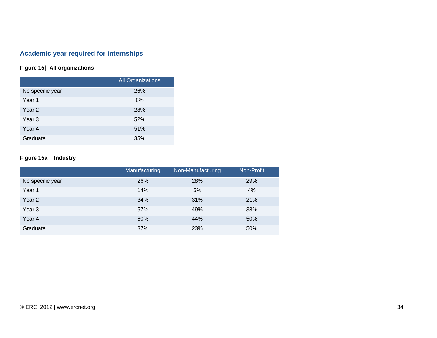# **Academic year required for internships**

#### **Figure 15| All organizations**

|                  | <b>All Organizations</b> |
|------------------|--------------------------|
| No specific year | 26%                      |
| Year 1           | 8%                       |
| Year 2           | 28%                      |
| Year 3           | 52%                      |
| Year 4           | 51%                      |
| Graduate         | 35%                      |

#### **Figure 15a | Industry**

|                   | Manufacturing | Non-Manufacturing | Non-Profit |
|-------------------|---------------|-------------------|------------|
| No specific year  | 26%           | 28%               | 29%        |
| Year 1            | 14%           | 5%                | 4%         |
| Year 2            | 34%           | 31%               | 21%        |
| Year <sub>3</sub> | 57%           | 49%               | 38%        |
| Year 4            | 60%           | 44%               | 50%        |
| Graduate          | 37%           | 23%               | 50%        |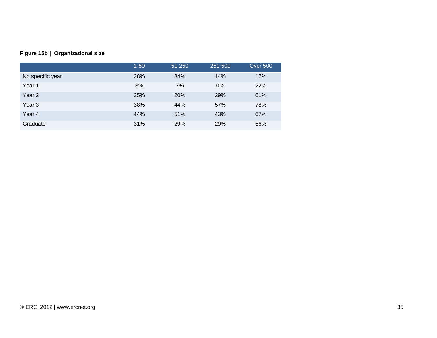|  |  | Figure 15b   Organizational size |
|--|--|----------------------------------|
|--|--|----------------------------------|

|                   | $1 - 50$ | 51-250     | 251-500 | <b>Over 500</b> |
|-------------------|----------|------------|---------|-----------------|
| No specific year  | 28%      | 34%        | 14%     | 17%             |
| Year 1            | 3%       | 7%         | 0%      | 22%             |
| Year <sub>2</sub> | 25%      | <b>20%</b> | 29%     | 61%             |
| Year <sub>3</sub> | 38%      | 44%        | 57%     | 78%             |
| Year 4            | 44%      | 51%        | 43%     | 67%             |
| Graduate          | 31%      | 29%        | 29%     | 56%             |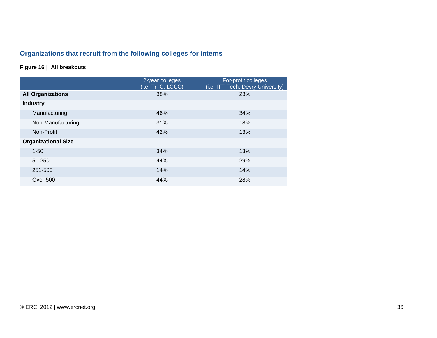# **Organizations that recruit from the following colleges for interns**

## **Figure 16 | All breakouts**

|                            | 2-year colleges<br>(i.e. Tri-C, LCCC) | For-profit colleges<br>(i.e. ITT-Tech, Devry University) |
|----------------------------|---------------------------------------|----------------------------------------------------------|
| <b>All Organizations</b>   | 38%                                   | 23%                                                      |
| <b>Industry</b>            |                                       |                                                          |
| Manufacturing              | 46%                                   | 34%                                                      |
| Non-Manufacturing          | 31%                                   | 18%                                                      |
| Non-Profit                 | 42%                                   | 13%                                                      |
| <b>Organizational Size</b> |                                       |                                                          |
| $1 - 50$                   | 34%                                   | 13%                                                      |
| 51-250                     | 44%                                   | 29%                                                      |
| 251-500                    | 14%                                   | 14%                                                      |
| Over 500                   | 44%                                   | 28%                                                      |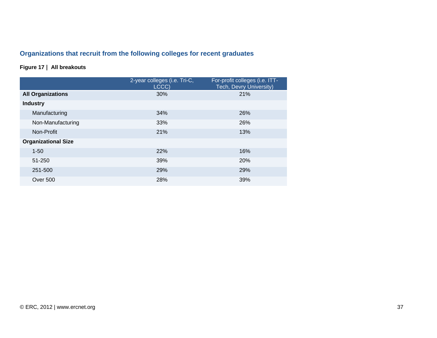# **Organizations that recruit from the following colleges for recent graduates**

## **Figure 17 | All breakouts**

|                            | 2-year colleges (i.e. Tri-C,<br>LCCC) | For-profit colleges (i.e. ITT-<br>Tech, Devry University) |
|----------------------------|---------------------------------------|-----------------------------------------------------------|
| <b>All Organizations</b>   | 30%                                   | 21%                                                       |
| <b>Industry</b>            |                                       |                                                           |
| Manufacturing              | 34%                                   | 26%                                                       |
| Non-Manufacturing          | 33%                                   | 26%                                                       |
| Non-Profit                 | 21%                                   | 13%                                                       |
| <b>Organizational Size</b> |                                       |                                                           |
| $1 - 50$                   | 22%                                   | 16%                                                       |
| 51-250                     | 39%                                   | <b>20%</b>                                                |
| 251-500                    | 29%                                   | 29%                                                       |
| Over 500                   | 28%                                   | 39%                                                       |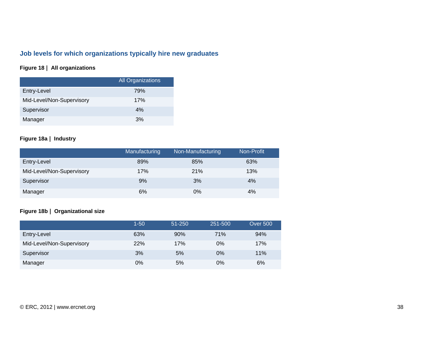# **Job levels for which organizations typically hire new graduates**

## **Figure 18 | All organizations**

|                           | <b>All Organizations</b> |
|---------------------------|--------------------------|
| Entry-Level               | 79%                      |
| Mid-Level/Non-Supervisory | 17%                      |
| Supervisor                | 4%                       |
| Manager                   | 3%                       |

## **Figure 18a | Industry**

|                           | Manufacturing | Non-Manufacturing | Non-Profit |
|---------------------------|---------------|-------------------|------------|
| Entry-Level               | 89%           | 85%               | 63%        |
| Mid-Level/Non-Supervisory | 17%           | 21%               | 13%        |
| Supervisor                | 9%            | 3%                | 4%         |
| Manager                   | 6%            | $0\%$             | 4%         |

## **Figure 18b | Organizational size**

|                           | 1-50  | 51-250 | 251-500 | <b>Over 500</b> |
|---------------------------|-------|--------|---------|-----------------|
| Entry-Level               | 63%   | 90%    | 71%     | 94%             |
| Mid-Level/Non-Supervisory | 22%   | 17%    | 0%      | 17%             |
| Supervisor                | 3%    | 5%     | 0%      | 11%             |
| Manager                   | $0\%$ | 5%     | 0%      | 6%              |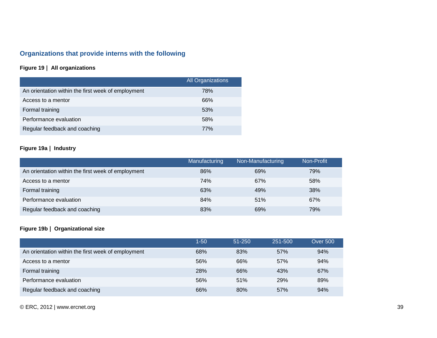# **Organizations that provide interns with the following**

## **Figure 19 | All organizations**

|                                                    | All Organizations |
|----------------------------------------------------|-------------------|
| An orientation within the first week of employment | 78%               |
| Access to a mentor                                 | 66%               |
| Formal training                                    | 53%               |
| Performance evaluation                             | 58%               |
| Regular feedback and coaching                      | 77%               |

## **Figure 19a | Industry**

|                                                    | Manufacturing | Non-Manufacturing | Non-Profit |
|----------------------------------------------------|---------------|-------------------|------------|
| An orientation within the first week of employment | 86%           | 69%               | 79%        |
| Access to a mentor                                 | 74%           | 67%               | 58%        |
| Formal training                                    | 63%           | 49%               | 38%        |
| Performance evaluation                             | 84%           | 51%               | 67%        |
| Regular feedback and coaching                      | 83%           | 69%               | 79%        |

## **Figure 19b | Organizational size**

|                                                    | 1-50 | $51 - 250$ | 251-500 | <b>Over 500</b> |
|----------------------------------------------------|------|------------|---------|-----------------|
| An orientation within the first week of employment | 68%  | 83%        | 57%     | 94%             |
| Access to a mentor                                 | 56%  | 66%        | 57%     | 94%             |
| Formal training                                    | 28%  | 66%        | 43%     | 67%             |
| Performance evaluation                             | 56%  | 51%        | 29%     | 89%             |
| Regular feedback and coaching                      | 66%  | 80%        | 57%     | 94%             |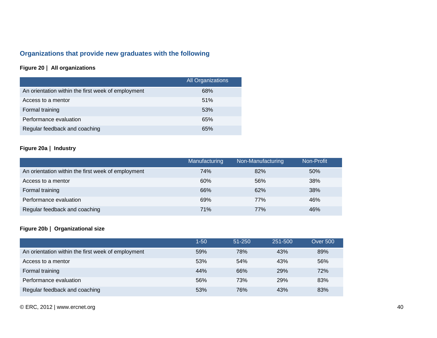# **Organizations that provide new graduates with the following**

## **Figure 20 | All organizations**

|                                                    | <b>All Organizations</b> |
|----------------------------------------------------|--------------------------|
| An orientation within the first week of employment | 68%                      |
| Access to a mentor                                 | 51%                      |
| Formal training                                    | 53%                      |
| Performance evaluation                             | 65%                      |
| Regular feedback and coaching                      | 65%                      |

## **Figure 20a | Industry**

|                                                    | Manufacturing | Non-Manufacturing | Non-Profit |
|----------------------------------------------------|---------------|-------------------|------------|
| An orientation within the first week of employment | 74%           | 82%               | 50%        |
| Access to a mentor                                 | 60%           | 56%               | 38%        |
| Formal training                                    | 66%           | 62%               | 38%        |
| Performance evaluation                             | 69%           | 77%               | 46%        |
| Regular feedback and coaching                      | <b>71%</b>    | <b>77%</b>        | 46%        |

## **Figure 20b | Organizational size**

|                                                    | $1 - 50$ | $51 - 250$ | 251-500    | <b>Over 500</b> |
|----------------------------------------------------|----------|------------|------------|-----------------|
| An orientation within the first week of employment | 59%      | 78%        | 43%        | 89%             |
| Access to a mentor                                 | 53%      | 54%        | 43%        | 56%             |
| Formal training                                    | 44%      | 66%        | <b>29%</b> | 72%             |
| Performance evaluation                             | 56%      | 73%        | 29%        | 83%             |
| Regular feedback and coaching                      | 53%      | 76%        | 43%        | 83%             |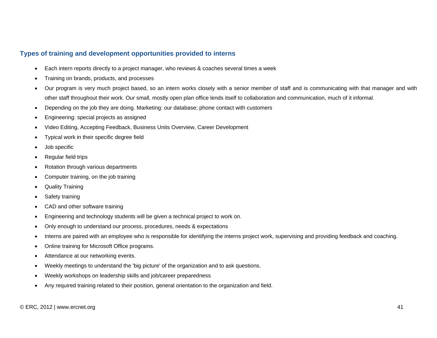## **Types of training and development opportunities provided to interns**

- Each intern reports directly to a project manager, who reviews & coaches several times a week
- Training on brands, products, and processes
- Our program is very much project based, so an intern works closely with a senior member of staff and is communicating with that manager and with other staff throughout their work. Our small, mostly open plan office lends itself to collaboration and communication, much of it informal.
- Depending on the job they are doing. Marketing: our database; phone contact with customers
- Engineering: special projects as assigned
- Video Editing, Accepting Feedback, Business Units Overview, Career Development
- Typical work in their specific degree field
- Job specific
- Regular field trips
- Rotation through various departments
- Computer training, on the job training
- Quality Training
- Safety training
- CAD and other software training
- Engineering and technology students will be given a technical project to work on.
- Only enough to understand our process, procedures, needs & expectations
- Interns are paired with an employee who is responsible for identifying the interns project work, supervising and providing feedback and coaching.
- Online training for Microsoft Office programs.
- Attendance at our networking events.
- Weekly meetings to understand the 'big picture' of the organization and to ask questions.
- Weekly workshops on leadership skills and job/career preparedness
- Any required training related to their position, general orientation to the organization and field.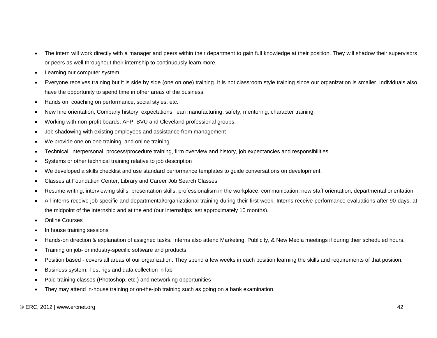- The intern will work directly with a manager and peers within their department to gain full knowledge at their position. They will shadow their supervisors or peers as well throughout their internship to continuously learn more.
- Learning our computer system
- Everyone receives training but it is side by side (one on one) training. It is not classroom style training since our organization is smaller. Individuals also have the opportunity to spend time in other areas of the business.
- Hands on, coaching on performance, social styles, etc.
- New hire orientation, Company history, expectations, lean manufacturing, safety, mentoring, character training,
- Working with non-profit boards, AFP, BVU and Cleveland professional groups.
- Job shadowing with existing employees and assistance from management
- We provide one on one training, and online training
- Technical, interpersonal, process/procedure training, firm overview and history, job expectancies and responsibilities
- Systems or other technical training relative to job description
- We developed a skills checklist and use standard performance templates to guide conversations on development.
- Classes at Foundation Center, Library and Career Job Search Classes
- Resume writing, interviewing skills, presentation skills, professionalism in the workplace, communication, new staff orientation, departmental orientation
- All interns receive job specific and departmental/organizational training during their first week. Interns receive performance evaluations after 90-days, at the midpoint of the internship and at the end (our internships last approximately 10 months).
- **Online Courses**
- In house training sessions
- Hands-on direction & explanation of assigned tasks. Interns also attend Marketing, Publicity, & New Media meetings if during their scheduled hours.
- Training on job- or industry-specific software and products.
- Position based covers all areas of our organization. They spend a few weeks in each position learning the skills and requirements of that position.
- Business system, Test rigs and data collection in lab
- Paid training classes (Photoshop, etc.) and networking opportunities
- They may attend in-house training or on-the-job training such as going on a bank examination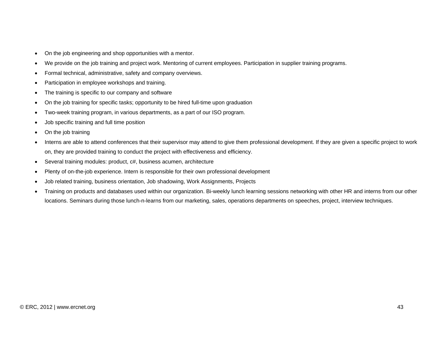- On the job engineering and shop opportunities with a mentor.
- We provide on the job training and project work. Mentoring of current employees. Participation in supplier training programs.
- Formal technical, administrative, safety and company overviews.
- Participation in employee workshops and training.
- The training is specific to our company and software
- On the job training for specific tasks; opportunity to be hired full-time upon graduation
- Two-week training program, in various departments, as a part of our ISO program.
- Job specific training and full time position
- On the job training
- Interns are able to attend conferences that their supervisor may attend to give them professional development. If they are given a specific project to work on, they are provided training to conduct the project with effectiveness and efficiency.
- Several training modules: product, c#, business acumen, architecture
- Plenty of on-the-job experience. Intern is responsible for their own professional development
- Job related training, business orientation, Job shadowing, Work Assignments, Projects
- Training on products and databases used within our organization. Bi-weekly lunch learning sessions networking with other HR and interns from our other locations. Seminars during those lunch-n-learns from our marketing, sales, operations departments on speeches, project, interview techniques.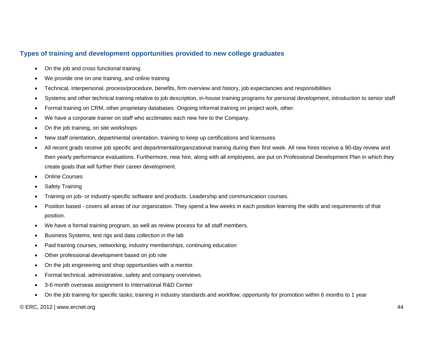## **Types of training and development opportunities provided to new college graduates**

- On the job and cross functional training
- We provide one on one training, and online training
- Technical, interpersonal, process/procedure, benefits, firm overview and history, job expectancies and responsibilities
- Systems and other technical training relative to job description, in-house training programs for personal development, introduction to senior staff
- Formal training on CRM, other proprietary databases. Ongoing informal training on project work, other.
- We have a corporate trainer on staff who acclimates each new hire to the Company.
- On the job training, on site workshops
- New staff orientation, departmental orientation, training to keep up certifications and licensures
- All recent grads receive job specific and departmental/organizational training during their first week. All new hires receive a 90-day review and then yearly performance evaluations. Furthermore, new hire, along with all employees, are put on Professional Development Plan in which they create goals that will further their career development.
- **Online Courses**
- **Safety Training**
- Training on job- or industry-specific software and products. Leadership and communication courses.
- Position based covers all areas of our organization. They spend a few weeks in each position learning the skills and requirements of that position.
- We have a formal training program, as well as review process for all staff members.
- Business Systems, test rigs and data collection in the lab
- Paid training courses, networking, industry memberships, continuing education
- Other professional development based on job role
- On the job engineering and shop opportunities with a mentor.
- Formal technical, administrative, safety and company overviews.
- 3-6 month overseas assignment to International R&D Center
- On the job training for specific tasks; training in industry standards and workflow; opportunity for promotion within 6 months to 1 year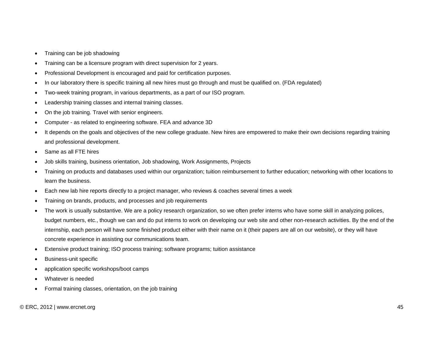- Training can be job shadowing
- Training can be a licensure program with direct supervision for 2 years.
- Professional Development is encouraged and paid for certification purposes.
- In our laboratory there is specific training all new hires must go through and must be qualified on. (FDA regulated)
- Two-week training program, in various departments, as a part of our ISO program.
- Leadership training classes and internal training classes.
- On the job training. Travel with senior engineers.
- Computer as related to engineering software. FEA and advance 3D
- It depends on the goals and objectives of the new college graduate. New hires are empowered to make their own decisions regarding training and professional development.
- Same as all FTE hires
- Job skills training, business orientation, Job shadowing, Work Assignments, Projects
- Training on products and databases used within our organization; tuition reimbursement to further education; networking with other locations to learn the business.
- Each new lab hire reports directly to a project manager, who reviews & coaches several times a week
- Training on brands, products, and processes and job requirements
- The work is usually substantive. We are a policy research organization, so we often prefer interns who have some skill in analyzing polices, budget numbers, etc., though we can and do put interns to work on developing our web site and other non-research activities. By the end of the internship, each person will have some finished product either with their name on it (their papers are all on our website), or they will have concrete experience in assisting our communications team.
- Extensive product training; ISO process training; software programs; tuition assistance
- Business-unit specific
- application specific workshops/boot camps
- Whatever is needed
- Formal training classes, orientation, on the job training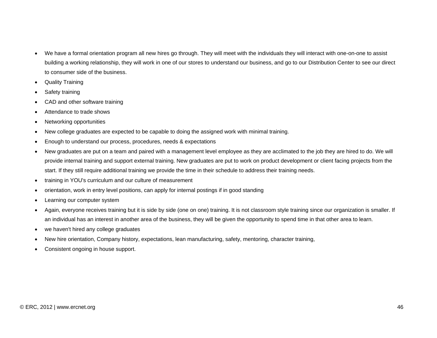- We have a formal orientation program all new hires go through. They will meet with the individuals they will interact with one-on-one to assist building a working relationship, they will work in one of our stores to understand our business, and go to our Distribution Center to see our direct to consumer side of the business.
- Quality Training
- Safety training
- CAD and other software training
- Attendance to trade shows
- Networking opportunities
- New college graduates are expected to be capable to doing the assigned work with minimal training.
- Enough to understand our process, procedures, needs & expectations
- New graduates are put on a team and paired with a management level employee as they are acclimated to the job they are hired to do. We will provide internal training and support external training. New graduates are put to work on product development or client facing projects from the start. If they still require additional training we provide the time in their schedule to address their training needs.
- training in YOU's curriculum and our culture of measurement
- orientation, work in entry level positions, can apply for internal postings if in good standing
- Learning our computer system
- Again, everyone receives training but it is side by side (one on one) training. It is not classroom style training since our organization is smaller. If an individual has an interest in another area of the business, they will be given the opportunity to spend time in that other area to learn.
- we haven't hired any college graduates
- New hire orientation, Company history, expectations, lean manufacturing, safety, mentoring, character training,
- Consistent ongoing in house support.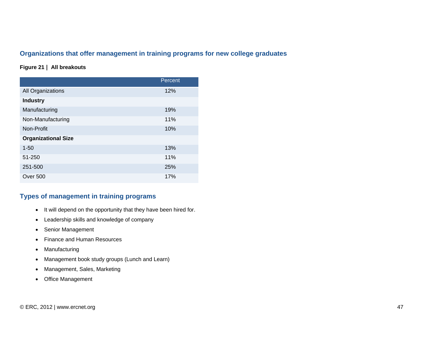## **Organizations that offer management in training programs for new college graduates**

### **Figure 21 | All breakouts**

|                            | Percent |
|----------------------------|---------|
| All Organizations          | 12%     |
| <b>Industry</b>            |         |
| Manufacturing              | 19%     |
| Non-Manufacturing          | 11%     |
| Non-Profit                 | 10%     |
| <b>Organizational Size</b> |         |
| $1 - 50$                   | 13%     |
| 51-250                     | 11%     |
| 251-500                    | 25%     |
| Over 500                   | 17%     |

## **Types of management in training programs**

- It will depend on the opportunity that they have been hired for.
- Leadership skills and knowledge of company
- Senior Management
- Finance and Human Resources
- Manufacturing
- Management book study groups (Lunch and Learn)
- Management, Sales, Marketing
- Office Management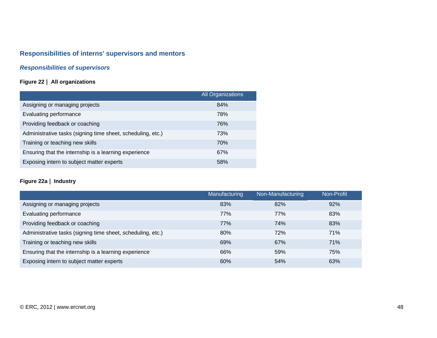# **Responsibilities of interns' supervisors and mentors**

## *Responsibilities of supervisors*

## **Figure 22 | All organizations**

|                                                             | <b>All Organizations</b> |
|-------------------------------------------------------------|--------------------------|
| Assigning or managing projects                              | 84%                      |
| Evaluating performance                                      | 78%                      |
| Providing feedback or coaching                              | 76%                      |
| Administrative tasks (signing time sheet, scheduling, etc.) | 73%                      |
| Training or teaching new skills                             | 70%                      |
| Ensuring that the internship is a learning experience       | 67%                      |
| Exposing intern to subject matter experts                   | 58%                      |

## **Figure 22a | Industry**

|                                                             | Manufacturing | Non-Manufacturing | Non-Profit |
|-------------------------------------------------------------|---------------|-------------------|------------|
| Assigning or managing projects                              | 83%           | 82%               | 92%        |
| Evaluating performance                                      | 77%           | 77%               | 83%        |
| Providing feedback or coaching                              | 77%           | 74%               | 83%        |
| Administrative tasks (signing time sheet, scheduling, etc.) | 80%           | 72%               | 71%        |
| Training or teaching new skills                             | 69%           | 67%               | 71%        |
| Ensuring that the internship is a learning experience       | 66%           | 59%               | 75%        |
| Exposing intern to subject matter experts                   | 60%           | 54%               | 63%        |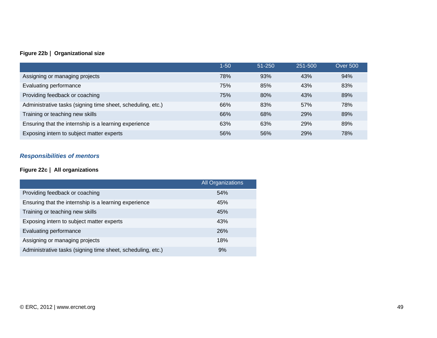## **Figure 22b | Organizational size**

|                                                             | $1 - 50$ | $51 - 250$ | 251-500 | <b>Over 500</b> |
|-------------------------------------------------------------|----------|------------|---------|-----------------|
| Assigning or managing projects                              | 78%      | 93%        | 43%     | 94%             |
| Evaluating performance                                      | 75%      | 85%        | 43%     | 83%             |
| Providing feedback or coaching                              | 75%      | 80%        | 43%     | 89%             |
| Administrative tasks (signing time sheet, scheduling, etc.) | 66%      | 83%        | 57%     | 78%             |
| Training or teaching new skills                             | 66%      | 68%        | 29%     | 89%             |
| Ensuring that the internship is a learning experience       | 63%      | 63%        | 29%     | 89%             |
| Exposing intern to subject matter experts                   | 56%      | 56%        | 29%     | 78%             |

## *Responsibilities of mentors*

## **Figure 22c | All organizations**

|                                                             | <b>All Organizations</b> |
|-------------------------------------------------------------|--------------------------|
| Providing feedback or coaching                              | 54%                      |
| Ensuring that the internship is a learning experience       | 45%                      |
| Training or teaching new skills                             | 45%                      |
| Exposing intern to subject matter experts                   | 43%                      |
| Evaluating performance                                      | <b>26%</b>               |
| Assigning or managing projects                              | 18%                      |
| Administrative tasks (signing time sheet, scheduling, etc.) | 9%                       |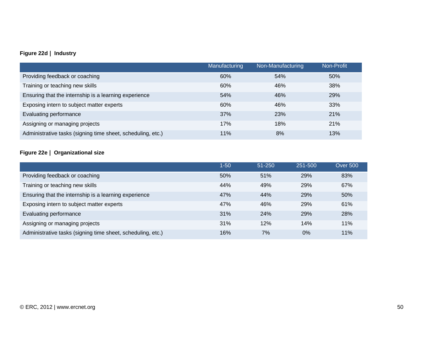## **Figure 22d | Industry**

|                                                             | Manufacturing | Non-Manufacturing | Non-Profit |
|-------------------------------------------------------------|---------------|-------------------|------------|
| Providing feedback or coaching                              | 60%           | 54%               | 50%        |
| Training or teaching new skills                             | 60%           | 46%               | 38%        |
| Ensuring that the internship is a learning experience       | 54%           | 46%               | 29%        |
| Exposing intern to subject matter experts                   | 60%           | 46%               | 33%        |
| Evaluating performance                                      | 37%           | 23%               | 21%        |
| Assigning or managing projects                              | 17%           | 18%               | 21%        |
| Administrative tasks (signing time sheet, scheduling, etc.) | 11%           | 8%                | 13%        |

## **Figure 22e | Organizational size**

|                                                             | $1 - 50$ | $51 - 250$ | 251-500 | <b>Over 500</b> |
|-------------------------------------------------------------|----------|------------|---------|-----------------|
| Providing feedback or coaching                              | 50%      | 51%        | 29%     | 83%             |
| Training or teaching new skills                             | 44%      | 49%        | 29%     | 67%             |
| Ensuring that the internship is a learning experience       | 47%      | 44%        | 29%     | 50%             |
| Exposing intern to subject matter experts                   | 47%      | 46%        | 29%     | 61%             |
| Evaluating performance                                      | 31%      | <b>24%</b> | 29%     | 28%             |
| Assigning or managing projects                              | 31%      | 12%        | 14%     | 11%             |
| Administrative tasks (signing time sheet, scheduling, etc.) | 16%      | 7%         | $0\%$   | 11%             |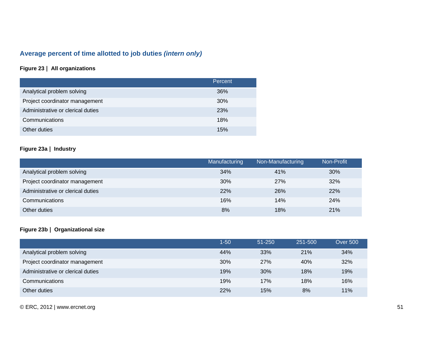# **Average percent of time allotted to job duties** *(intern only)*

## **Figure 23 | All organizations**

|                                   | Percent |
|-----------------------------------|---------|
| Analytical problem solving        | 36%     |
| Project coordinator management    | 30%     |
| Administrative or clerical duties | 23%     |
| Communications                    | 18%     |
| Other duties                      | 15%     |

## **Figure 23a | Industry**

|                                   | Manufacturing | Non-Manufacturing | Non-Profit |
|-----------------------------------|---------------|-------------------|------------|
| Analytical problem solving        | 34%           | 41%               | 30%        |
| Project coordinator management    | 30%           | 27%               | 32%        |
| Administrative or clerical duties | <b>22%</b>    | 26%               | 22%        |
| Communications                    | 16%           | 14%               | 24%        |
| Other duties                      | 8%            | 18%               | 21%        |

## **Figure 23b | Organizational size**

|                                   | $1 - 50$ | $51 - 250$ | 251-500 | <b>Over 500</b> |
|-----------------------------------|----------|------------|---------|-----------------|
| Analytical problem solving        | 44%      | 33%        | 21%     | 34%             |
| Project coordinator management    | 30%      | 27%        | 40%     | 32%             |
| Administrative or clerical duties | 19%      | 30%        | 18%     | 19%             |
| Communications                    | 19%      | 17%        | 18%     | 16%             |
| Other duties                      | 22%      | 15%        | 8%      | 11%             |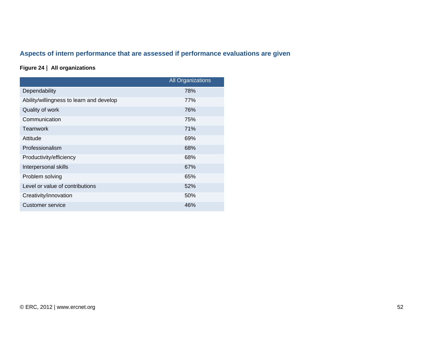# **Aspects of intern performance that are assessed if performance evaluations are given**

## **Figure 24 | All organizations**

|                                          | <b>All Organizations</b> |
|------------------------------------------|--------------------------|
| Dependability                            | 78%                      |
| Ability/willingness to learn and develop | 77%                      |
| Quality of work                          | 76%                      |
| Communication                            | 75%                      |
| Teamwork                                 | <b>71%</b>               |
| Attitude                                 | 69%                      |
| Professionalism                          | 68%                      |
| Productivity/efficiency                  | 68%                      |
| Interpersonal skills                     | 67%                      |
| Problem solving                          | 65%                      |
| Level or value of contributions          | 52%                      |
| Creativity/innovation                    | 50%                      |
| Customer service                         | 46%                      |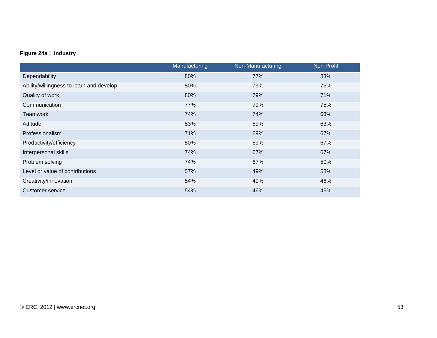## **Figure 24a | Industry**

|                                          | Manufacturing | Non-Manufacturing | Non-Profit |
|------------------------------------------|---------------|-------------------|------------|
| Dependability                            | 80%           | 77%               | 83%        |
| Ability/willingness to learn and develop | 80%           | 79%               | 75%        |
| Quality of work                          | 80%           | 79%               | 71%        |
| Communication                            | 77%           | 79%               | 75%        |
| Teamwork                                 | 74%           | 74%               | 63%        |
| Attitude                                 | 83%           | 69%               | 63%        |
| Professionalism                          | 71%           | 69%               | 67%        |
| Productivity/efficiency                  | 80%           | 69%               | 67%        |
| Interpersonal skills                     | 74%           | 67%               | 67%        |
| Problem solving                          | 74%           | 67%               | 50%        |
| Level or value of contributions          | 57%           | 49%               | 58%        |
| Creativity/innovation                    | 54%           | 49%               | 46%        |
| <b>Customer service</b>                  | 54%           | 46%               | 46%        |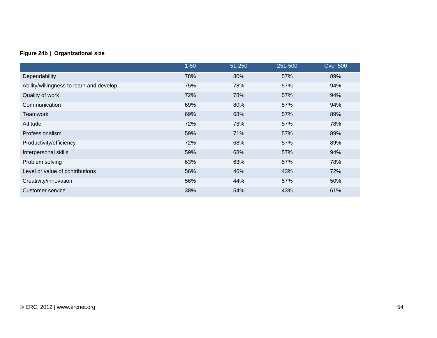## **Figure 24b | Organizational size**

|                                          | $1 - 50$ | 51-250 | 251-500 | <b>Over 500</b> |
|------------------------------------------|----------|--------|---------|-----------------|
| Dependability                            | 78%      | 80%    | 57%     | 89%             |
| Ability/willingness to learn and develop | 75%      | 78%    | 57%     | 94%             |
| Quality of work                          | 72%      | 78%    | 57%     | 94%             |
| Communication                            | 69%      | 80%    | 57%     | 94%             |
| <b>Teamwork</b>                          | 69%      | 68%    | 57%     | 89%             |
| Attitude                                 | 72%      | 73%    | 57%     | 78%             |
| Professionalism                          | 59%      | 71%    | 57%     | 89%             |
| Productivity/efficiency                  | 72%      | 68%    | 57%     | 89%             |
| Interpersonal skills                     | 59%      | 68%    | 57%     | 94%             |
| Problem solving                          | 63%      | 63%    | 57%     | 78%             |
| Level or value of contributions          | 56%      | 46%    | 43%     | 72%             |
| Creativity/innovation                    | 56%      | 44%    | 57%     | 50%             |
| Customer service                         | 38%      | 54%    | 43%     | 61%             |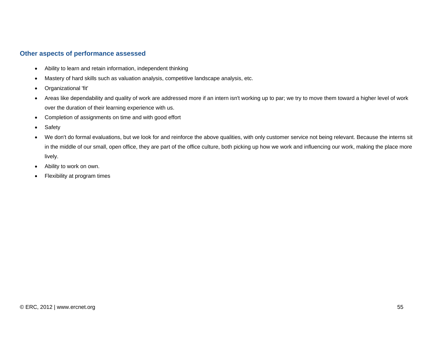## **Other aspects of performance assessed**

- Ability to learn and retain information, independent thinking
- Mastery of hard skills such as valuation analysis, competitive landscape analysis, etc.
- Organizational 'fit'
- Areas like dependability and quality of work are addressed more if an intern isn't working up to par; we try to move them toward a higher level of work over the duration of their learning experience with us.
- Completion of assignments on time and with good effort
- Safety
- We don't do formal evaluations, but we look for and reinforce the above qualities, with only customer service not being relevant. Because the interns sit in the middle of our small, open office, they are part of the office culture, both picking up how we work and influencing our work, making the place more lively.
- Ability to work on own.
- Flexibility at program times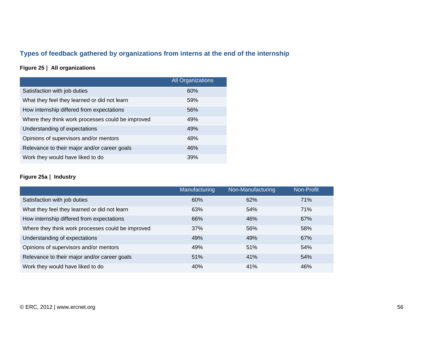# **Types of feedback gathered by organizations from interns at the end of the internship**

## **Figure 25 | All organizations**

|                                                   | <b>All Organizations</b> |
|---------------------------------------------------|--------------------------|
| Satisfaction with job duties                      | 60%                      |
| What they feel they learned or did not learn      | 59%                      |
| How internship differed from expectations         | 56%                      |
| Where they think work processes could be improved | 49%                      |
| Understanding of expectations                     | 49%                      |
| Opinions of supervisors and/or mentors            | 48%                      |
| Relevance to their major and/or career goals      | 46%                      |
| Work they would have liked to do                  | 39%                      |

## **Figure 25a | Industry**

|                                                   | Manufacturing | Non-Manufacturing | Non-Profit |
|---------------------------------------------------|---------------|-------------------|------------|
| Satisfaction with job duties                      | 60%           | 62%               | 71%        |
| What they feel they learned or did not learn      | 63%           | 54%               | 71%        |
| How internship differed from expectations         | 66%           | 46%               | 67%        |
| Where they think work processes could be improved | 37%           | 56%               | 58%        |
| Understanding of expectations                     | 49%           | 49%               | 67%        |
| Opinions of supervisors and/or mentors            | 49%           | 51%               | 54%        |
| Relevance to their major and/or career goals      | 51%           | 41%               | 54%        |
| Work they would have liked to do                  | 40%           | 41%               | 46%        |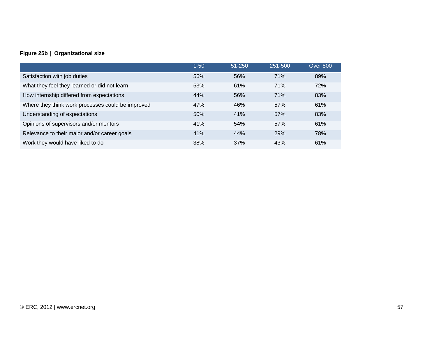## **Figure 25b | Organizational size**

|                                                   | $1 - 50$ | 51-250 | 251-500 | <b>Over 500</b> |
|---------------------------------------------------|----------|--------|---------|-----------------|
| Satisfaction with job duties                      | 56%      | 56%    | 71%     | 89%             |
| What they feel they learned or did not learn      | 53%      | 61%    | 71%     | 72%             |
| How internship differed from expectations         | 44%      | 56%    | 71%     | 83%             |
| Where they think work processes could be improved | 47%      | 46%    | 57%     | 61%             |
| Understanding of expectations                     | 50%      | 41%    | 57%     | 83%             |
| Opinions of supervisors and/or mentors            | 41%      | 54%    | 57%     | 61%             |
| Relevance to their major and/or career goals      | 41%      | 44%    | 29%     | 78%             |
| Work they would have liked to do                  | 38%      | 37%    | 43%     | 61%             |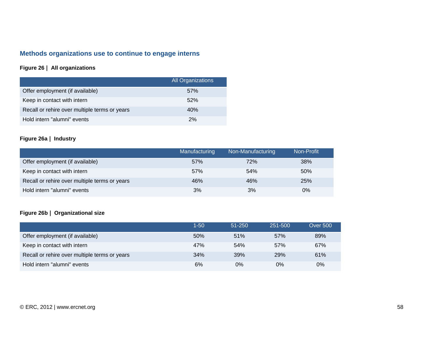## **Methods organizations use to continue to engage interns**

## **Figure 26 | All organizations**

|                                               | All Organizations |
|-----------------------------------------------|-------------------|
| Offer employment (if available)               | .57%              |
| Keep in contact with intern                   | 52%               |
| Recall or rehire over multiple terms or years | 40%               |
| Hold intern "alumni" events                   | 2%                |

## **Figure 26a | Industry**

|                                               | Manufacturing | Non-Manufacturing | Non-Profit |
|-----------------------------------------------|---------------|-------------------|------------|
| Offer employment (if available)               | 57%           | 72%               | 38%        |
| Keep in contact with intern                   | 57%           | 54%               | 50%        |
| Recall or rehire over multiple terms or years | 46%           | 46%               | 25%        |
| Hold intern "alumni" events                   | 3%            | 3%                | $0\%$      |

## **Figure 26b | Organizational size**

|                                               | 1-50 | $51 - 250$ | 251-500    | <b>Over 500</b> |
|-----------------------------------------------|------|------------|------------|-----------------|
| Offer employment (if available)               | 50%  | 51%        | 57%        | 89%             |
| Keep in contact with intern                   | 47%  | 54%        | 57%        | 67%             |
| Recall or rehire over multiple terms or years | 34%  | 39%        | <b>29%</b> | 61%             |
| Hold intern "alumni" events                   | 6%   | 0%         | 0%         | $0\%$           |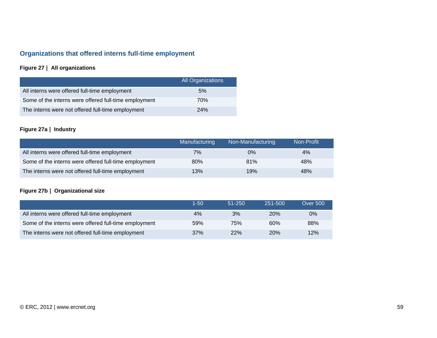# **Organizations that offered interns full-time employment**

## **Figure 27 | All organizations**

|                                                       | All Organizations |
|-------------------------------------------------------|-------------------|
| All interns were offered full-time employment         | 5%                |
| Some of the interns were offered full-time employment | 70%               |
| The interns were not offered full-time employment     | 24%               |

## **Figure 27a | Industry**

|                                                       | Manufacturing | Non-Manufacturing | Non-Profit |
|-------------------------------------------------------|---------------|-------------------|------------|
| All interns were offered full-time employment         | 7%            | $0\%$             | 4%         |
| Some of the interns were offered full-time employment | 80%           | 81%               | 48%        |
| The interns were not offered full-time employment     | 13%           | 19%               | 48%        |

## **Figure 27b | Organizational size**

|                                                       | 1-50 | $51 - 250$ | 251-500    | <b>Over 500</b> |
|-------------------------------------------------------|------|------------|------------|-----------------|
| All interns were offered full-time employment         | 4%   | 3%         | <b>20%</b> | $0\%$           |
| Some of the interns were offered full-time employment | 59%  | 75%        | 60%        | 88%             |
| The interns were not offered full-time employment     | 37%  | 22%        | <b>20%</b> | 12%             |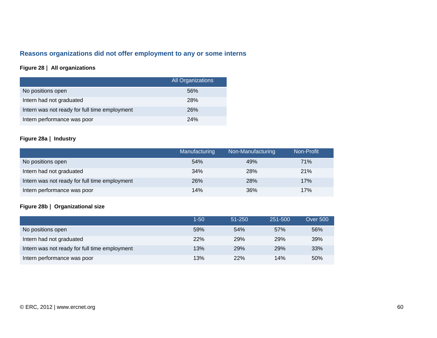# **Reasons organizations did not offer employment to any or some interns**

## **Figure 28 | All organizations**

|                                               | <b>All Organizations</b> |
|-----------------------------------------------|--------------------------|
| No positions open                             | 56%                      |
| Intern had not graduated                      | 28%                      |
| Intern was not ready for full time employment | 26%                      |
| Intern performance was poor                   | 24%                      |

## **Figure 28a | Industry**

|                                               | Manufacturing | Non-Manufacturing | Non-Profit |
|-----------------------------------------------|---------------|-------------------|------------|
| No positions open                             | 54%           | 49%               | <b>71%</b> |
| Intern had not graduated                      | 34%           | 28%               | 21%        |
| Intern was not ready for full time employment | 26%           | 28%               | 17%        |
| Intern performance was poor                   | 14%           | 36%               | 17%        |

## **Figure 28b | Organizational size**

|                                               | 1-50 | 51-250     | 251-500    | <b>Over 500</b> |
|-----------------------------------------------|------|------------|------------|-----------------|
| No positions open                             | 59%  | 54%        | 57%        | 56%             |
| Intern had not graduated                      | 22%  | 29%        | <b>29%</b> | 39%             |
| Intern was not ready for full time employment | 13%  | <b>29%</b> | 29%        | 33%             |
| Intern performance was poor                   | 13%  | 22%        | 14%        | 50%             |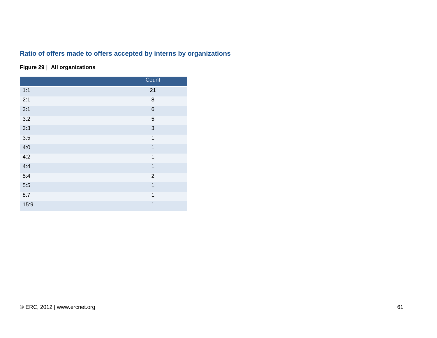# **Ratio of offers made to offers accepted by interns by organizations**

## **Figure 29 | All organizations**

|      | Count                   |
|------|-------------------------|
| 1:1  | 21                      |
| 2:1  | 8                       |
| 3:1  | $\,6$                   |
| 3:2  | 5                       |
| 3:3  | $\mathbf{3}$            |
| 3:5  | $\mathbf{1}$            |
| 4:0  | $\overline{1}$          |
| 4:2  | $\mathbf{1}$            |
| 4:4  | $\overline{\mathbf{1}}$ |
| 5:4  | $\overline{2}$          |
| 5:5  | $\overline{1}$          |
| 8:7  | $\mathbf{1}$            |
| 15:9 | $\mathbf{1}$            |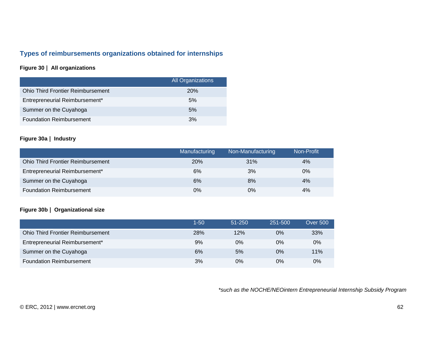## **Types of reimbursements organizations obtained for internships**

## **Figure 30 | All organizations**

|                                          | <b>All Organizations</b> |
|------------------------------------------|--------------------------|
| <b>Ohio Third Frontier Reimbursement</b> | <b>20%</b>               |
| Entrepreneurial Reimbursement*           | 5%                       |
| Summer on the Cuyahoga                   | 5%                       |
| <b>Foundation Reimbursement</b>          | 3%                       |

### **Figure 30a | Industry**

|                                          | Manufacturing | Non-Manufacturing | Non-Profit |
|------------------------------------------|---------------|-------------------|------------|
| <b>Ohio Third Frontier Reimbursement</b> | 20%           | 31%               | 4%         |
| Entrepreneurial Reimbursement*           | 6%            | 3%                | $0\%$      |
| Summer on the Cuyahoga                   | 6%            | 8%                | 4%         |
| <b>Foundation Reimbursement</b>          | $0\%$         | 0%                | 4%         |

#### **Figure 30b | Organizational size**

|                                          | $1 - 50$ | 51-250 | 251-500 | <b>Over 500</b> |
|------------------------------------------|----------|--------|---------|-----------------|
| <b>Ohio Third Frontier Reimbursement</b> | 28%      | 12%    | 0%      | 33%             |
| Entrepreneurial Reimbursement*           | 9%       | $0\%$  | $0\%$   | 0%              |
| Summer on the Cuyahoga                   | 6%       | 5%     | 0%      | 11%             |
| <b>Foundation Reimbursement</b>          | 3%       | $0\%$  | 0%      | 0%              |

*\*such as the NOCHE/NEOintern Entrepreneurial Internship Subsidy Program*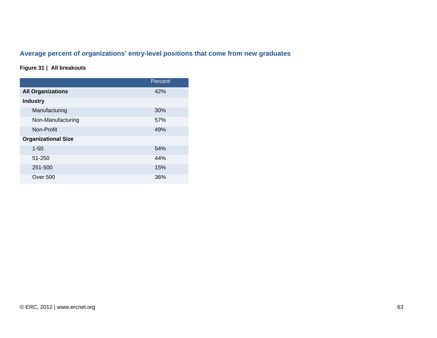# **Average percent of organizations' entry-level positions that come from new graduates**

## **Figure 31 | All breakouts**

|                            | Percent |
|----------------------------|---------|
| <b>All Organizations</b>   | 42%     |
| <b>Industry</b>            |         |
| Manufacturing              | 30%     |
| Non-Manufacturing          | 57%     |
| Non-Profit                 | 49%     |
| <b>Organizational Size</b> |         |
| $1 - 50$                   | 54%     |
| 51-250                     | 44%     |
| 251-500                    | 15%     |
| Over 500                   | 36%     |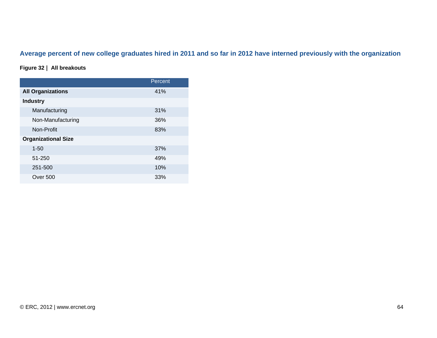# **Average percent of new college graduates hired in 2011 and so far in 2012 have interned previously with the organization**

## **Figure 32 | All breakouts**

|                            | Percent |
|----------------------------|---------|
| <b>All Organizations</b>   | 41%     |
| <b>Industry</b>            |         |
| Manufacturing              | 31%     |
| Non-Manufacturing          | 36%     |
| Non-Profit                 | 83%     |
| <b>Organizational Size</b> |         |
| $1 - 50$                   | 37%     |
| 51-250                     | 49%     |
| 251-500                    | 10%     |
| <b>Over 500</b>            | 33%     |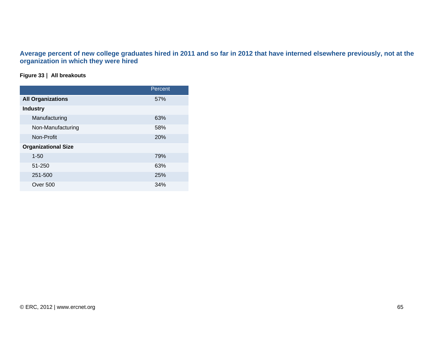## **Average percent of new college graduates hired in 2011 and so far in 2012 that have interned elsewhere previously, not at the organization in which they were hired**

## **Figure 33 | All breakouts**

|                            | Percent |
|----------------------------|---------|
| <b>All Organizations</b>   | 57%     |
| <b>Industry</b>            |         |
| Manufacturing              | 63%     |
| Non-Manufacturing          | 58%     |
| Non-Profit                 | 20%     |
| <b>Organizational Size</b> |         |
| $1 - 50$                   | 79%     |
| 51-250                     | 63%     |
| 251-500                    | 25%     |
| <b>Over 500</b>            | 34%     |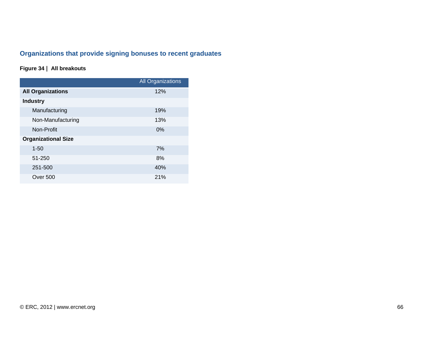# **Organizations that provide signing bonuses to recent graduates**

## **Figure 34 | All breakouts**

|                            | <b>All Organizations</b> |
|----------------------------|--------------------------|
| <b>All Organizations</b>   | 12%                      |
| <b>Industry</b>            |                          |
| Manufacturing              | 19%                      |
| Non-Manufacturing          | 13%                      |
| Non-Profit                 | 0%                       |
| <b>Organizational Size</b> |                          |
| $1 - 50$                   | 7%                       |
| 51-250                     | 8%                       |
| 251-500                    | 40%                      |
| <b>Over 500</b>            | 21%                      |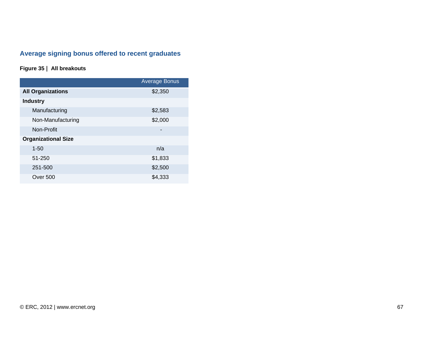# **Average signing bonus offered to recent graduates**

## **Figure 35 | All breakouts**

|                            | <b>Average Bonus</b> |
|----------------------------|----------------------|
| <b>All Organizations</b>   | \$2,350              |
| <b>Industry</b>            |                      |
| Manufacturing              | \$2,583              |
| Non-Manufacturing          | \$2,000              |
| Non-Profit                 |                      |
| <b>Organizational Size</b> |                      |
| $1 - 50$                   | n/a                  |
| 51-250                     | \$1,833              |
| 251-500                    | \$2,500              |
| <b>Over 500</b>            | \$4,333              |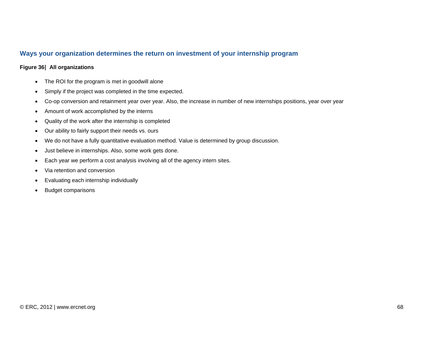## **Ways your organization determines the return on investment of your internship program**

#### **Figure 36| All organizations**

- The ROI for the program is met in goodwill alone
- •Simply if the project was completed in the time expected.
- Co-op conversion and retainment year over year. Also, the increase in number of new internships positions, year over year
- Amount of work accomplished by the interns
- Quality of the work after the internship is completed
- Our ability to fairly support their needs vs. ours
- We do not have a fully quantitative evaluation method. Value is determined by group discussion.
- Just believe in internships. Also, some work gets done.
- Each year we perform a cost analysis involving all of the agency intern sites.
- Via retention and conversion
- Evaluating each internship individually
- Budget comparisons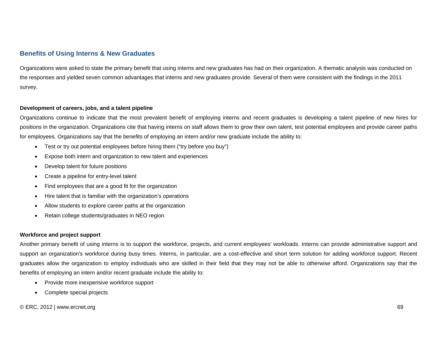## **Benefits of Using Interns & New Graduates**

Organizations were asked to state the primary benefit that using interns and new graduates has had on their organization. A thematic analysis was conducted on the responses and yielded seven common advantages that interns and new graduates provide. Several of them were consistent with the findings in the 2011 survey.

#### **Development of careers, jobs, and a talent pipeline**

Organizations continue to indicate that the most prevalent benefit of employing interns and recent graduates is developing a talent pipeline of new hires for positions in the organization. Organizations cite that having interns on staff allows them to grow their own talent, test potential employees and provide career paths for employees. Organizations say that the benefits of employing an intern and/or new graduate include the ability to:

- Test or try out potential employees before hiring them ("try before you buy")
- Expose both intern and organization to new talent and experiences
- Develop talent for future positions
- Create a pipeline for entry-level talent
- Find employees that are a good fit for the organization
- Hire talent that is familiar with the organization's operations
- Allow students to explore career paths at the organization
- Retain college students/graduates in NEO region

#### **Workforce and project support**

Another primary benefit of using interns is to support the workforce, projects, and current employees' workloads. Interns can provide administrative support and support an organization's workforce during busy times. Interns, in particular, are a cost-effective and short term solution for adding workforce support. Recent graduates allow the organization to employ individuals who are skilled in their field that they may not be able to otherwise afford. Organizations say that the benefits of employing an intern and/or recent graduate include the ability to:

- Provide more inexpensive workforce support
- Complete special projects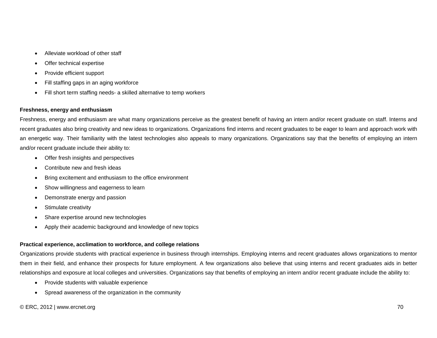- Alleviate workload of other staff
- Offer technical expertise
- Provide efficient support
- Fill staffing gaps in an aging workforce
- Fill short term staffing needs- a skilled alternative to temp workers

#### **Freshness, energy and enthusiasm**

Freshness, energy and enthusiasm are what many organizations perceive as the greatest benefit of having an intern and/or recent graduate on staff. Interns and recent graduates also bring creativity and new ideas to organizations. Organizations find interns and recent graduates to be eager to learn and approach work with an energetic way. Their familiarity with the latest technologies also appeals to many organizations. Organizations say that the benefits of employing an intern and/or recent graduate include their ability to:

- Offer fresh insights and perspectives
- Contribute new and fresh ideas
- Bring excitement and enthusiasm to the office environment
- Show willingness and eagerness to learn
- Demonstrate energy and passion
- Stimulate creativity
- Share expertise around new technologies
- Apply their academic background and knowledge of new topics

#### **Practical experience, acclimation to workforce, and college relations**

Organizations provide students with practical experience in business through internships. Employing interns and recent graduates allows organizations to mentor them in their field, and enhance their prospects for future employment. A few organizations also believe that using interns and recent graduates aids in better relationships and exposure at local colleges and universities. Organizations say that benefits of employing an intern and/or recent graduate include the ability to:

- Provide students with valuable experience
- Spread awareness of the organization in the community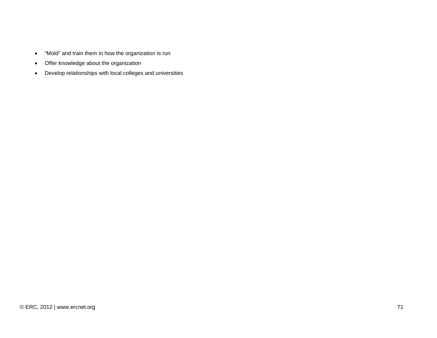- $\bullet$ "Mold" and train them in how the organization is run
- Offer knowledge about the organization
- Develop relationships with local colleges and universities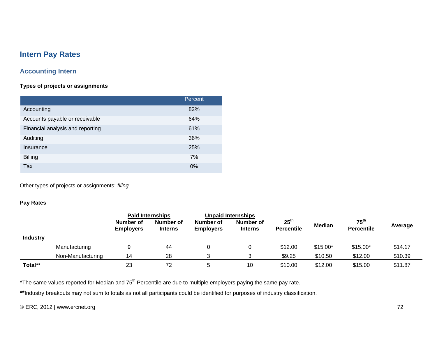### **Intern Pay Rates**

### **Accounting Intern**

### **Types of projects or assignments**

|                                  | Percent |
|----------------------------------|---------|
| Accounting                       | 82%     |
| Accounts payable or receivable   | 64%     |
| Financial analysis and reporting | 61%     |
| Auditing                         | 36%     |
| Insurance                        | 25%     |
| <b>Billing</b>                   | 7%      |
| Tax                              | $0\%$   |

Other types of projects or assignments: *filing* 

#### **Pay Rates**

|                 |                   | <b>Paid Internships</b>       |                             | <b>Unpaid Internships</b>     |                             |                                       |               |                                       |         |
|-----------------|-------------------|-------------------------------|-----------------------------|-------------------------------|-----------------------------|---------------------------------------|---------------|---------------------------------------|---------|
|                 |                   | Number of<br><b>Employers</b> | Number of<br><b>Interns</b> | Number of<br><b>Employers</b> | Number of<br><b>Interns</b> | $25^{\text{th}}$<br><b>Percentile</b> | <b>Median</b> | $75^{\text{th}}$<br><b>Percentile</b> | Average |
| <b>Industry</b> |                   |                               |                             |                               |                             |                                       |               |                                       |         |
|                 | Manufacturing     |                               | 44                          |                               |                             | \$12.00                               | $$15.00*$     | $$15.00*$                             | \$14.17 |
|                 | Non-Manufacturing | 14                            | 28                          |                               |                             | \$9.25                                | \$10.50       | \$12.00                               | \$10.39 |
| Total**         |                   | 23                            | 72                          |                               | 10                          | \$10.00                               | \$12.00       | \$15.00                               | \$11.87 |

\*The same values reported for Median and 75<sup>th</sup> Percentile are due to multiple employers paying the same pay rate.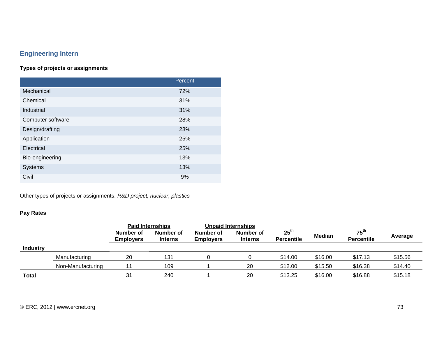## **Engineering Intern**

### **Types of projects or assignments**

|                   | Percent |
|-------------------|---------|
| Mechanical        | 72%     |
| Chemical          | 31%     |
| Industrial        | 31%     |
| Computer software | 28%     |
| Design/drafting   | 28%     |
| Application       | 25%     |
| Electrical        | 25%     |
| Bio-engineering   | 13%     |
| Systems           | 13%     |
| Civil             | 9%      |

Other types of projects or assignments: *R&D project, nuclear, plastics*

### **Pay Rates**

|                 |                   | <b>Paid Internships</b>       |                             | <b>Unpaid Internships</b>     |                             |                                       |               |                                       |         |
|-----------------|-------------------|-------------------------------|-----------------------------|-------------------------------|-----------------------------|---------------------------------------|---------------|---------------------------------------|---------|
|                 |                   | Number of<br><b>Employers</b> | Number of<br><b>Interns</b> | Number of<br><b>Employers</b> | Number of<br><b>Interns</b> | 25 <sup>th</sup><br><b>Percentile</b> | <b>Median</b> | $75^{\text{th}}$<br><b>Percentile</b> | Average |
| <b>Industry</b> |                   |                               |                             |                               |                             |                                       |               |                                       |         |
|                 | Manufacturing     | 20                            | 131                         |                               |                             | \$14.00                               | \$16.00       | \$17.13                               | \$15.56 |
|                 | Non-Manufacturing | 11                            | 109                         |                               | 20                          | \$12.00                               | \$15.50       | \$16.38                               | \$14.40 |
| Total           |                   | 31                            | 240                         |                               | 20                          | \$13.25                               | \$16.00       | \$16.88                               | \$15.18 |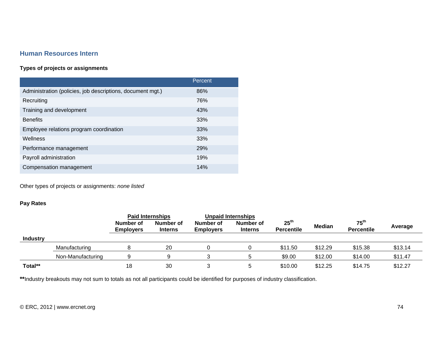### **Human Resources Intern**

#### **Types of projects or assignments**

|                                                            | Percent |
|------------------------------------------------------------|---------|
| Administration (policies, job descriptions, document mgt.) | 86%     |
| Recruiting                                                 | 76%     |
| Training and development                                   | 43%     |
| <b>Benefits</b>                                            | 33%     |
| Employee relations program coordination                    | 33%     |
| Wellness                                                   | 33%     |
| Performance management                                     | 29%     |
| Payroll administration                                     | 19%     |
| Compensation management                                    | 14%     |

Other types of projects or assignments: *none listed*

### **Pay Rates**

|                 |                   | <b>Paid Internships</b>       |                             | <b>Unpaid Internships</b>     |                             |                                       |               |                                       |         |
|-----------------|-------------------|-------------------------------|-----------------------------|-------------------------------|-----------------------------|---------------------------------------|---------------|---------------------------------------|---------|
|                 |                   | Number of<br><b>Employers</b> | Number of<br><b>Interns</b> | Number of<br><b>Employers</b> | Number of<br><b>Interns</b> | 25 <sup>th</sup><br><b>Percentile</b> | <b>Median</b> | $75^{\text{th}}$<br><b>Percentile</b> | Average |
| <b>Industry</b> |                   |                               |                             |                               |                             |                                       |               |                                       |         |
|                 | Manufacturing     |                               | 20                          |                               |                             | \$11.50                               | \$12.29       | \$15.38                               | \$13.14 |
|                 | Non-Manufacturing | 9                             |                             |                               |                             | \$9.00                                | \$12.00       | \$14.00                               | \$11.47 |
| Total**         |                   | 18                            | 30                          |                               |                             | \$10.00                               | \$12.25       | \$14.75                               | \$12.27 |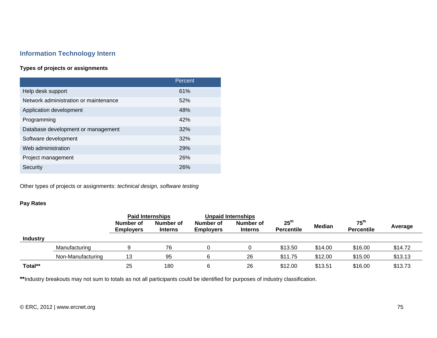### **Information Technology Intern**

### **Types of projects or assignments**

|                                       | Percent    |
|---------------------------------------|------------|
| Help desk support                     | 61%        |
| Network administration or maintenance | 52%        |
| Application development               | 48%        |
| Programming                           | 42%        |
| Database development or management    | 32%        |
| Software development                  | 32%        |
| Web administration                    | <b>29%</b> |
| Project management                    | <b>26%</b> |
| Security                              | 26%        |

Other types of projects or assignments: *technical design, software testing* 

### **Pay Rates**

|                 |                   | <b>Paid Internships</b>       |                             | <b>Unpaid Internships</b>     |                             |                                       |               |                                       |         |
|-----------------|-------------------|-------------------------------|-----------------------------|-------------------------------|-----------------------------|---------------------------------------|---------------|---------------------------------------|---------|
|                 |                   | Number of<br><b>Employers</b> | Number of<br><b>Interns</b> | Number of<br><b>Employers</b> | Number of<br><b>Interns</b> | 25 <sup>th</sup><br><b>Percentile</b> | <b>Median</b> | 75 <sup>th</sup><br><b>Percentile</b> | Average |
| <b>Industry</b> |                   |                               |                             |                               |                             |                                       |               |                                       |         |
|                 | Manufacturing     |                               | 76                          |                               |                             | \$13.50                               | \$14.00       | \$16.00                               | \$14.72 |
|                 | Non-Manufacturing | 13                            | 95                          |                               | 26                          | \$11.75                               | \$12.00       | \$15.00                               | \$13.13 |
| Total**         |                   | 25                            | 180                         |                               | 26                          | \$12.00                               | \$13.51       | \$16.00                               | \$13.73 |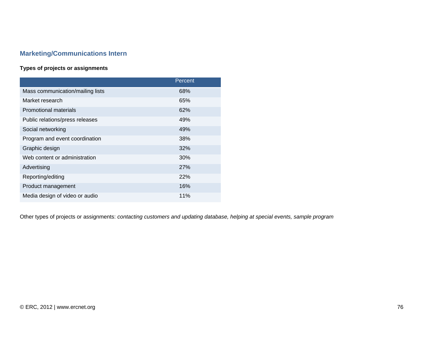### **Marketing/Communications Intern**

### **Types of projects or assignments**

|                                  | Percent    |
|----------------------------------|------------|
| Mass communication/mailing lists | 68%        |
| Market research                  | 65%        |
| <b>Promotional materials</b>     | 62%        |
| Public relations/press releases  | 49%        |
| Social networking                | 49%        |
| Program and event coordination   | 38%        |
| Graphic design                   | 32%        |
| Web content or administration    | 30%        |
| Advertising                      | <b>27%</b> |
| Reporting/editing                | 22%        |
| Product management               | 16%        |
| Media design of video or audio   | 11%        |

Other types of projects or assignments: *contacting customers and updating database, helping at special events, sample program*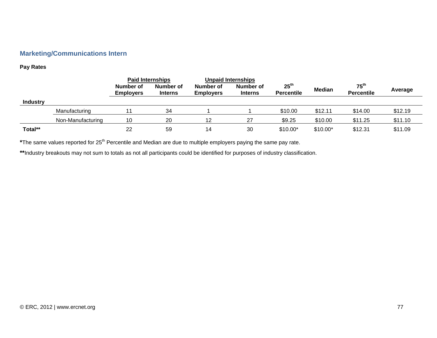### **Marketing/Communications Intern**

#### **Pay Rates**

|                 |                   | <b>Paid Internships</b>       |                             | <b>Unpaid Internships</b>     |                             |                                       |           |                                       |         |
|-----------------|-------------------|-------------------------------|-----------------------------|-------------------------------|-----------------------------|---------------------------------------|-----------|---------------------------------------|---------|
|                 |                   | Number of<br><b>Employers</b> | Number of<br><b>Interns</b> | Number of<br><b>Employers</b> | Number of<br><b>Interns</b> | 25 <sup>th</sup><br><b>Percentile</b> | Median    | $75^{\text{th}}$<br><b>Percentile</b> | Average |
| <b>Industry</b> |                   |                               |                             |                               |                             |                                       |           |                                       |         |
|                 | Manufacturing     |                               | 34                          |                               |                             | \$10.00                               | \$12.11   | \$14.00                               | \$12.19 |
|                 | Non-Manufacturing | 10                            | 20                          | 12                            | 27                          | \$9.25                                | \$10.00   | \$11.25                               | \$11.10 |
| Total**         |                   | 22                            | 59                          | 14                            | 30                          | $$10.00*$                             | $$10.00*$ | \$12.31                               | \$11.09 |

\*The same values reported for 25<sup>th</sup> Percentile and Median are due to multiple employers paying the same pay rate.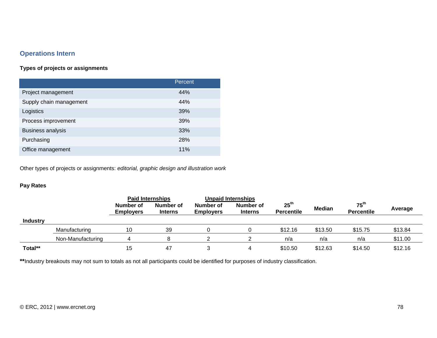### **Operations Intern**

### **Types of projects or assignments**

|                          | Percent |
|--------------------------|---------|
| Project management       | 44%     |
| Supply chain management  | 44%     |
| Logistics                | 39%     |
| Process improvement      | 39%     |
| <b>Business analysis</b> | 33%     |
| Purchasing               | 28%     |
| Office management        | 11%     |

Other types of projects or assignments: *editorial, graphic design and illustration work*

### **Pay Rates**

|                 |                   | <b>Paid Internships</b>       |                             | <b>Unpaid Internships</b>     |                             |                                       |               |                                       |         |
|-----------------|-------------------|-------------------------------|-----------------------------|-------------------------------|-----------------------------|---------------------------------------|---------------|---------------------------------------|---------|
|                 |                   | Number of<br><b>Employers</b> | Number of<br><b>Interns</b> | Number of<br><b>Employers</b> | Number of<br><b>Interns</b> | $25^{\text{th}}$<br><b>Percentile</b> | <b>Median</b> | $75^{\text{th}}$<br><b>Percentile</b> | Average |
| <b>Industry</b> |                   |                               |                             |                               |                             |                                       |               |                                       |         |
|                 | Manufacturing     | 10                            | 39                          |                               |                             | \$12.16                               | \$13.50       | \$15.75                               | \$13.84 |
|                 | Non-Manufacturing |                               |                             |                               |                             | n/a                                   | n/a           | n/a                                   | \$11.00 |
| Total**         |                   | 15                            | -47                         |                               |                             | \$10.50                               | \$12.63       | \$14.50                               | \$12.16 |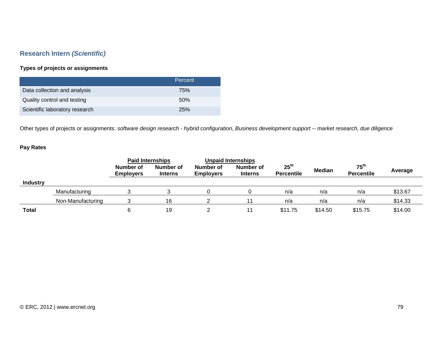### **Research Intern** *(Scientific)*

### **Types of projects or assignments**

|                                | Percent |
|--------------------------------|---------|
| Data collection and analysis   | 75%     |
| Quality control and testing    | .50%    |
| Scientific laboratory research | 25%     |

Other types of projects or assignments: *software design research - hybrid configuration, Business development support -- market research, due diligence*

### **Pay Rates**

|                 |                   | <b>Paid Internships</b>       |                             |                               | <b>Unpaid Internships</b>   |                                       |               |                                       |         |
|-----------------|-------------------|-------------------------------|-----------------------------|-------------------------------|-----------------------------|---------------------------------------|---------------|---------------------------------------|---------|
|                 |                   | Number of<br><b>Employers</b> | Number of<br><b>Interns</b> | Number of<br><b>Employers</b> | Number of<br><b>Interns</b> | 25 <sup>th</sup><br><b>Percentile</b> | <b>Median</b> | $75^{\text{th}}$<br><b>Percentile</b> | Average |
| <b>Industry</b> |                   |                               |                             |                               |                             |                                       |               |                                       |         |
|                 | Manufacturing     |                               |                             |                               |                             | n/a                                   | n/a           | n/a                                   | \$13.67 |
|                 | Non-Manufacturing |                               | 16                          |                               |                             | n/a                                   | n/a           | n/a                                   | \$14.33 |
| <b>Total</b>    |                   | 6                             | 19                          |                               |                             | \$11.75                               | \$14.50       | \$15.75                               | \$14.00 |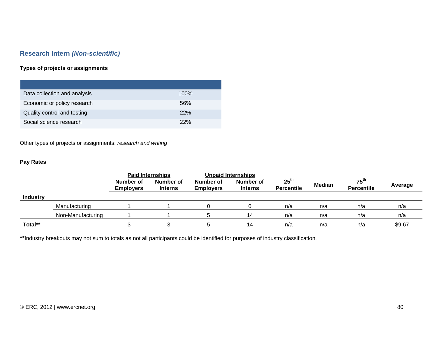### **Research Intern** *(Non-scientific)*

### **Types of projects or assignments**

| Data collection and analysis | $100\%$ |
|------------------------------|---------|
| Economic or policy research  | 56%     |
| Quality control and testing  | 22%     |
| Social science research      | 22%     |

Other types of projects or assignments: *research and writing* 

### **Pay Rates**

|                 |                   | <b>Paid Internships</b>       |                             |                               | <b>Unpaid Internships</b>   |                                       |               |                                       |         |
|-----------------|-------------------|-------------------------------|-----------------------------|-------------------------------|-----------------------------|---------------------------------------|---------------|---------------------------------------|---------|
|                 |                   | Number of<br><b>Employers</b> | Number of<br><b>Interns</b> | Number of<br><b>Employers</b> | Number of<br><b>Interns</b> | $25^{\text{th}}$<br><b>Percentile</b> | <b>Median</b> | $75^{\text{th}}$<br><b>Percentile</b> | Average |
| <b>Industry</b> |                   |                               |                             |                               |                             |                                       |               |                                       |         |
|                 | Manufacturing     |                               |                             |                               |                             | n/a                                   | n/a           | n/a                                   | n/a     |
|                 | Non-Manufacturing |                               |                             |                               | 14                          | n/a                                   | n/a           | n/a                                   | n/a     |
| Total**         |                   |                               |                             |                               | 14                          | n/a                                   | n/a           | n/a                                   | \$9.67  |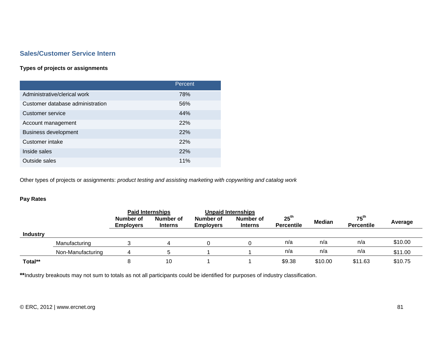### **Sales/Customer Service Intern**

### **Types of projects or assignments**

|                                  | Percent    |
|----------------------------------|------------|
| Administrative/clerical work     | 78%        |
| Customer database administration | 56%        |
| Customer service                 | 44%        |
| Account management               | 22%        |
| <b>Business development</b>      | 22%        |
| Customer intake                  | <b>22%</b> |
| Inside sales                     | 22%        |
| Outside sales                    | 11%        |

Other types of projects or assignments: *product testing and assisting marketing with copywriting and catalog work*

### **Pay Rates**

|                 |                   | <b>Paid Internships</b>       |                             |                               | <b>Unpaid Internships</b>   |                                       |               |                                       |         |
|-----------------|-------------------|-------------------------------|-----------------------------|-------------------------------|-----------------------------|---------------------------------------|---------------|---------------------------------------|---------|
|                 |                   | Number of<br><b>Employers</b> | Number of<br><b>Interns</b> | Number of<br><b>Employers</b> | Number of<br><b>Interns</b> | 25 <sup>th</sup><br><b>Percentile</b> | <b>Median</b> | $75^{\text{th}}$<br><b>Percentile</b> | Average |
| <b>Industry</b> |                   |                               |                             |                               |                             |                                       |               |                                       |         |
|                 | Manufacturing     |                               |                             |                               |                             | n/a                                   | n/a           | n/a                                   | \$10.00 |
|                 | Non-Manufacturing |                               |                             |                               |                             | n/a                                   | n/a           | n/a                                   | \$11.00 |
| Total**         |                   | 8                             | 10                          |                               |                             | \$9.38                                | \$10.00       | \$11.63                               | \$10.75 |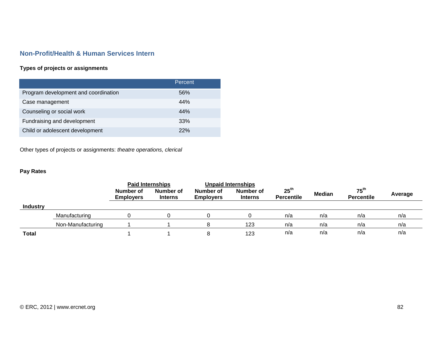### **Non-Profit/Health & Human Services Intern**

### **Types of projects or assignments**

|                                      | Percent |
|--------------------------------------|---------|
| Program development and coordination | 56%     |
| Case management                      | 44%     |
| Counseling or social work            | 44%     |
| Fundraising and development          | 33%     |
| Child or adolescent development      | 22%     |

Other types of projects or assignments: *theatre operations, clerical*

### **Pay Rates**

|                 |                   | <b>Paid Internships</b>       |                             | <b>Unpaid Internships</b>     |                             |                                       |               |                                       |         |
|-----------------|-------------------|-------------------------------|-----------------------------|-------------------------------|-----------------------------|---------------------------------------|---------------|---------------------------------------|---------|
|                 |                   | Number of<br><b>Employers</b> | Number of<br><b>Interns</b> | Number of<br><b>Employers</b> | Number of<br><b>Interns</b> | 25 <sup>th</sup><br><b>Percentile</b> | <b>Median</b> | $75^{\text{th}}$<br><b>Percentile</b> | Average |
| <b>Industry</b> |                   |                               |                             |                               |                             |                                       |               |                                       |         |
|                 | Manufacturing     |                               |                             |                               |                             | n/a                                   | n/a           | n/a                                   | n/a     |
|                 | Non-Manufacturing |                               |                             |                               | 123                         | n/a                                   | n/a           | n/a                                   | n/a     |
| <b>Total</b>    |                   |                               |                             |                               | 123                         | n/a                                   | n/a           | n/a                                   | n/a     |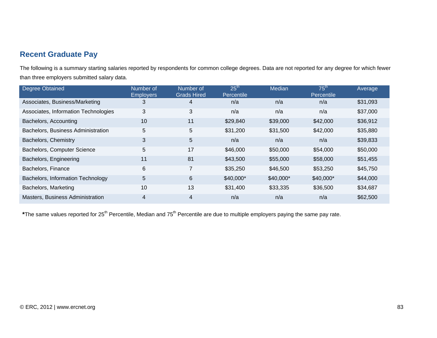## **Recent Graduate Pay**

The following is a summary starting salaries reported by respondents for common college degrees. Data are not reported for any degree for which fewer than three employers submitted salary data.

| <b>Degree Obtained</b>               | Number of<br><b>Employers</b> | Number of<br><b>Grads Hired</b> | 25 <sup>th</sup><br>Percentile | Median    | $75^{\text{th}}$<br>Percentile | Average  |
|--------------------------------------|-------------------------------|---------------------------------|--------------------------------|-----------|--------------------------------|----------|
| Associates, Business/Marketing       | 3                             | $\overline{4}$                  | n/a                            | n/a       | n/a                            | \$31,093 |
| Associates, Information Technologies | 3                             | 3                               | n/a                            | n/a       | n/a                            | \$37,000 |
| Bachelors, Accounting                | 10                            | 11                              | \$29,840                       | \$39,000  | \$42,000                       | \$36,912 |
| Bachelors, Business Administration   | 5                             | 5                               | \$31,200                       | \$31,500  | \$42,000                       | \$35,880 |
| Bachelors, Chemistry                 | 3                             | 5                               | n/a                            | n/a       | n/a                            | \$39,833 |
| Bachelors, Computer Science          | 5                             | 17                              | \$46,000                       | \$50,000  | \$54,000                       | \$50,000 |
| Bachelors, Engineering               | 11                            | 81                              | \$43,500                       | \$55,000  | \$58,000                       | \$51,455 |
| Bachelors, Finance                   | 6                             | 7                               | \$35,250                       | \$46,500  | \$53,250                       | \$45,750 |
| Bachelors, Information Technology    | 5                             | $6\phantom{1}$                  | $$40,000*$                     | \$40,000* | \$40,000*                      | \$44,000 |
| Bachelors, Marketing                 | 10                            | 13                              | \$31,400                       | \$33,335  | \$36,500                       | \$34,687 |
| Masters, Business Administration     | 4                             | $\overline{4}$                  | n/a                            | n/a       | n/a                            | \$62,500 |

\*The same values reported for 25<sup>th</sup> Percentile, Median and 75<sup>th</sup> Percentile are due to multiple employers paying the same pay rate.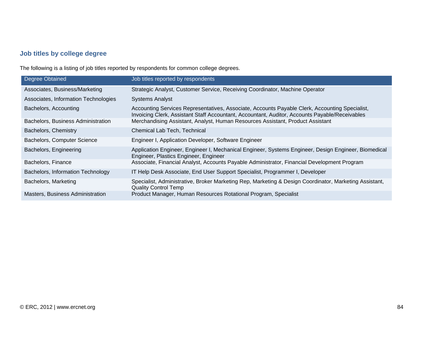## **Job titles by college degree**

The following is a listing of job titles reported by respondents for common college degrees.

| <b>Degree Obtained</b>               | Job titles reported by respondents                                                                                                                                                               |
|--------------------------------------|--------------------------------------------------------------------------------------------------------------------------------------------------------------------------------------------------|
| Associates, Business/Marketing       | Strategic Analyst, Customer Service, Receiving Coordinator, Machine Operator                                                                                                                     |
| Associates, Information Technologies | <b>Systems Analyst</b>                                                                                                                                                                           |
| Bachelors, Accounting                | Accounting Services Representatives, Associate, Accounts Payable Clerk, Accounting Specialist,<br>Invoicing Clerk, Assistant Staff Accountant, Accountant, Auditor, Accounts Payable/Receivables |
| Bachelors, Business Administration   | Merchandising Assistant, Analyst, Human Resources Assistant, Product Assistant                                                                                                                   |
| Bachelors, Chemistry                 | Chemical Lab Tech, Technical                                                                                                                                                                     |
| Bachelors, Computer Science          | Engineer I, Application Developer, Software Engineer                                                                                                                                             |
| Bachelors, Engineering               | Application Engineer, Engineer I, Mechanical Engineer, Systems Engineer, Design Engineer, Biomedical<br>Engineer, Plastics Engineer, Engineer                                                    |
| Bachelors, Finance                   | Associate, Financial Analyst, Accounts Payable Administrator, Financial Development Program                                                                                                      |
| Bachelors, Information Technology    | IT Help Desk Associate, End User Support Specialist, Programmer I, Developer                                                                                                                     |
| Bachelors, Marketing                 | Specialist, Administrative, Broker Marketing Rep, Marketing & Design Coordinator, Marketing Assistant,<br><b>Quality Control Temp</b>                                                            |
| Masters, Business Administration     | Product Manager, Human Resources Rotational Program, Specialist                                                                                                                                  |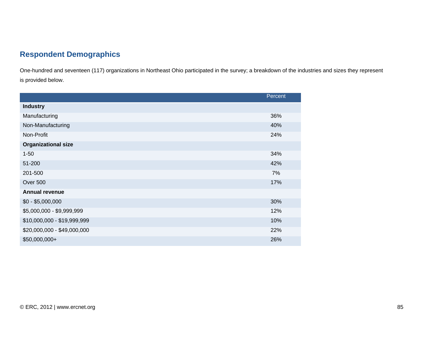# **Respondent Demographics**

One-hundred and seventeen (117) organizations in Northeast Ohio participated in the survey; a breakdown of the industries and sizes they represent is provided below.

|                             | Percent |
|-----------------------------|---------|
| <b>Industry</b>             |         |
| Manufacturing               | 36%     |
| Non-Manufacturing           | 40%     |
| Non-Profit                  | 24%     |
| <b>Organizational size</b>  |         |
| $1 - 50$                    | 34%     |
| 51-200                      | 42%     |
| 201-500                     | 7%      |
| Over 500                    | 17%     |
| <b>Annual revenue</b>       |         |
| $$0 - $5,000,000$           | 30%     |
| \$5,000,000 - \$9,999,999   | 12%     |
| \$10,000,000 - \$19,999,999 | 10%     |
| \$20,000,000 - \$49,000,000 | 22%     |
| \$50,000,000+               | 26%     |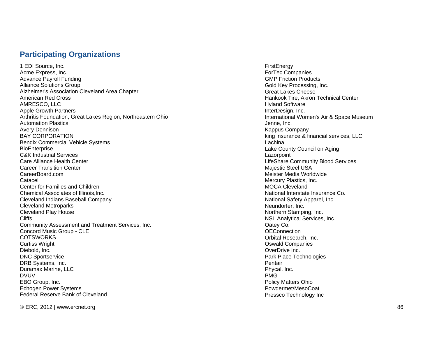### **Participating Organizations**

1 EDI Source, Inc. Acme Express, Inc. Advance Payroll Funding Alliance Solutions Group Alzheimer's Association Cleveland Area Chapter American Red Cross AMRESCO, LLC Apple Growth Partners Arthritis Foundation, Great Lakes Region, Northeastern Ohio Automation Plastics Avery Dennison BAY CORPORATION Bendix Commercial Vehicle Systems **BioEnterprise** C&K Industrial Services Care Alliance Health Center Career Transition Center CareerBoard.com Catacel Center for Families and Children Chemical Associates of Illinois,Inc. Cleveland Indians Baseball Company Cleveland Metroparks Cleveland Play House Cliffs Community Assessment and Treatment Services, Inc. Concord Music Group - CLE **COTSWORKS** Curtiss Wright Diebold, Inc. DNC Sportservice DRB Systems, Inc. Duramax Marine, LLC DVUV EBO Group, Inc. Echogen Power Systems Federal Reserve Bank of Cleveland

**FirstEnergy** ForTec Companies GMP Friction Products Gold Key Processing, Inc. Great Lakes Cheese Hankook Tire, Akron Technical Center Hyland Software InterDesign, Inc. International Women's Air & Space Museum Jenne, Inc. Kappus Company king insurance & financial services, LLC Lachina Lake County Council on Aging **Lazorpoint** LifeShare Community Blood Services Majestic Steel USA Meister Media Worldwide Mercury Plastics, Inc. MOCA Cleveland National Interstate Insurance Co. National Safety Apparel, Inc. Neundorfer, Inc. Northern Stamping, Inc. NSL Analytical Services, Inc. Oatey Co. **OEConnection** Orbital Research, Inc. Oswald Companies OverDrive Inc. Park Place Technologies **Pentair** Phycal. Inc. PMG Policy Matters Ohio Powdermet/MesoCoat Pressco Technology Inc

© ERC, 2012 | www.ercnet.org 86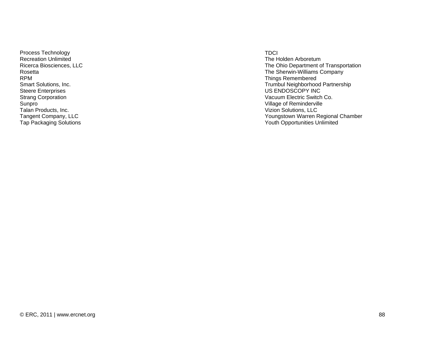Process Technology Recreation Unlimited Ricerca Biosciences, LLC Rosetta RPM Smart Solutions, Inc. Steere Enterprises Strang Corporation Sunpro Talan Products, Inc. Tangent Company, LLC Tap Packaging Solutions

#### TDCI

The Holden Arboretum The Ohio Department of Transportation The Sherwin-Williams Company Things Remembered Trumbul Neighborhood Partnership US ENDOSCOPY INC Vacuum Electric Switch Co. Village of Reminderville Vizion Solutions, LLC Youngstown Warren Regional Chamber Youth Opportunities Unlimited